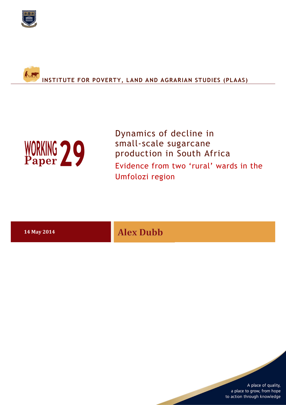





Dynamics of decline in small-scale sugarcane production in South Africa Evidence from two 'rural' wards in the Umfolozi region

**14 May 2014**

# **Alex Dubb**

A place of quality, a place to grow, from hope to action through knowledge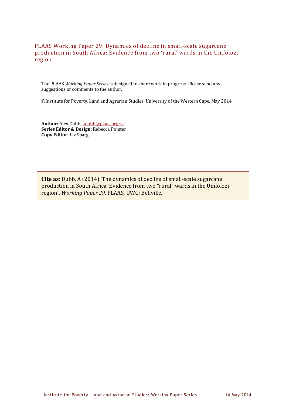PLAAS Working Paper 29: Dynamics of decline in small-scale sugarcane production in South Africa: Evidence from two 'rural' wards in the Umfolozi region

The PLAAS *Working Paper Series* is designed to share work in progress. Please send any suggestions or comments to the author.

©Institute for Poverty, Land and Agrarian Studies, University of the Western Cape, May 2014

**Author:** Alex Dubb, adubb@plaas.org.za **Series Editor & Design:** Rebecca Pointer **Copy Editor:** Liz Sparg

**Cite as:** Dubb, A (2014) 'The dynamics of decline of small-scale sugarcane production in South Africa: Evidence from two "rural" wards in the Umfolozi region', *Working Paper 29*. PLAAS, UWC: Bellville.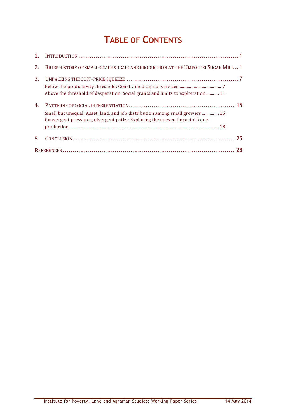# **TABLE OF CONTENTS**

| $1_{-}$ |                                                                                                                                                           |  |
|---------|-----------------------------------------------------------------------------------------------------------------------------------------------------------|--|
| 2.      | BRIEF HISTORY OF SMALL-SCALE SUGARCANE PRODUCTION AT THE UMFOLOZI SUGAR MILL 1                                                                            |  |
| 3.      | Above the threshold of desperation: Social grants and limits to exploitation  11                                                                          |  |
| 4.      | Small but unequal: Asset, land, and job distribution among small growers 15<br>Convergent pressures, divergent paths: Exploring the uneven impact of cane |  |
| .5.     |                                                                                                                                                           |  |
|         |                                                                                                                                                           |  |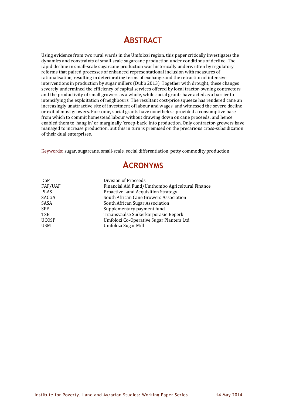# **ABSTRACT**

Using evidence from two rural wards in the Umfolozi region, this paper critically investigates the dynamics and constraints of small-scale sugarcane production under conditions of decline. The rapid decline in small-scale sugarcane production was historically underwritten by regulatory reforms that paired processes of enhanced representational inclusion with measures of rationalisation, resulting in deteriorating terms of exchange and the retraction of intensive interventions in production by sugar millers (Dubb 2013). Together with drought, these changes severely undermined the efficiency of capital services offered by local tractor-owning contractors and the productivity of small growers as a whole, while social grants have acted as a barrier to intensifying the exploitation of neighbours. The resultant cost-price squeeze has rendered cane an increasingly unattractive site of investment of labour and wages, and witnessed the severe decline or exit of most growers. For some, social grants have nonetheless provided a consumptive base from which to commit homestead labour without drawing down on cane proceeds, and hence enabled them to 'hang in' or marginally 'creep-back' into production. Only contractor-growers have managed to increase production, but this in turn is premised on the precarious cross-subsidization of their dual enterprises.

Keywords: sugar, sugarcane, small-scale, social differentiation, petty commodity production

# **ACRONYMS**

| DoP     | Division of Proceeds                             |
|---------|--------------------------------------------------|
| FAF/UAF | Financial Aid Fund/Umthombo Agricultural Finance |
| PLAS    | Proactive Land Acquisition Strategy              |
| SACGA   | South African Cane Growers Association           |
| SASA    | South African Sugar Association                  |
| SPF     | Supplementary payment fund                       |
| TSB     | Traansvaalse Suikerkorporasie Beperk             |
| UCOSP   | Umfolozi Co-Operative Sugar Planters Ltd.        |
| USM     | Umfolozi Sugar Mill                              |
|         |                                                  |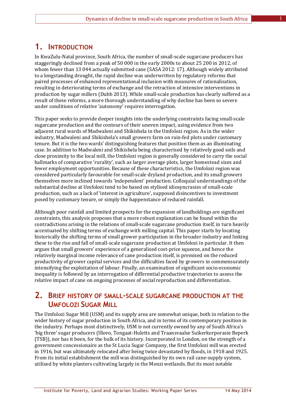## **1. INTRODUCTION**

In KwaZulu-Natal province, South Africa, the number of small-scale sugarcane producers has staggeringly declined from a peak of 50 000 in the early 2000s to about 25 200 in 2012, of whom fewer than 13 044 actually submitted cane (SASA 2012: 17). Although widely attributed to a longstanding drought, the rapid decline was underwritten by regulatory reforms that paired processes of enhanced representational inclusion with measures of rationalisation, resulting in deteriorating terms of exchange and the retraction of intensive interventions in production by sugar millers (Dubb 2013). While small-scale production has clearly suffered as a result of these reforms, a more thorough understanding of why decline has been so severe under conditions of relative 'autonomy' requires interrogation.

This paper seeks to provide deeper insights into the underlying constraints facing small-scale sugarcane production and the contours of their uneven impact, using evidence from two adjacent rural wards of Madwaleni and Shikishela in the Umfolozi region. As in the wider industry, Madwaleni and Shikishela's small growers farm on rain-fed plots under customary tenure. But it is the two wards' distinguishing features that position them as an illuminating case. In addition to Madwaleni and Shikishela being characterised by relatively good soils and close proximity to the local mill, the Umfolozi region is generally considered to carry the social hallmarks of comparative 'rurality', such as larger average plots, larger homestead sizes and fewer employment opportunities. Because of these characteristics, the Umfolozi region was considered particularly favourable for small-scale dryland production, and its small growers themselves more inclined towards 'independent' production. Colloquial understandings of the substantial decline at Umfolozi tend to be based on stylised idiosyncrasies of small-scale production, such as a lack of 'interest in agriculture', supposed disincentives to investment posed by customary tenure, or simply the happenstance of reduced rainfall.

Although poor rainfall and limited prospects for the expansion of landholdings are significant constraints, this analysis proposes that a more robust explanation can be found within the contradictions arising in the relations of small-scale sugarcane production itself, in turn heavily accentuated by shifting terms of exchange with milling capital. This paper starts by locating historically the shifting terms of small grower participation in the broader industry and linking these to the rise and fall of small-scale sugarcane production at Umfolozi in particular. It then argues that small growers' experience of a generalised cost-price squeeze, and hence the relatively marginal income relevance of cane production itself, is premised on the reduced productivity of grower capital services and the difficulties faced by growers in commensurately intensifying the exploitation of labour. Finally, an examination of significant socio-economic inequality is followed by an interrogation of differential productive trajectories to assess the relative impact of cane on ongoing processes of social reproduction and differentiation.

## **2. BRIEF HISTORY OF SMALL-SCALE SUGARCANE PRODUCTION AT THE UMFOLOZI SUGAR MILL**

The Umfolozi Sugar Mill (USM) and its supply area are somewhat unique, both in relation to the wider history of sugar production in South Africa, and in terms of its contemporary position in the industry. Perhaps most distinctively, USM is not currently owned by any of South Africa's 'big three' sugar producers (Illovo, Tongaat-Huletts and Traansvaalse Suikerkorporasie Beperk (TSB)), nor has it been, for the bulk of its history. Incorporated in London, on the strength of a government concessionaire as the St Lucia Sugar Company, the first Umfolozi mill was erected in 1916, but was ultimately relocated after being twice devastated by floods, in 1918 and 1925. From its initial establishment the mill was distinguished by its own rail cane-supply system, utilised by white planters cultivating largely in the Monzi wetlands. But its most notable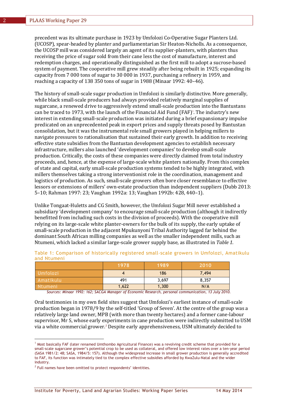precedent was its ultimate purchase in 1923 by Umfolozi Co-Operative Sugar Planters Ltd. (UCOSP), spear-headed by planter and parliamentarian Sir Heaton-Nicholls. As a consequence, the UCOSP mill was considered largely an agent of its supplier-planters, with planters thus receiving the price of sugar sold from their cane less the cost of manufacture, interest and redemption charges, and operationally distinguished as the first mill to adopt a sucrose-based system of payment. The cooperative mill grew steadily after being rebuilt in 1925; expanding its capacity from 7 000 tons of sugar to 30 000 in 1937, purchasing a refinery in 1959, and reaching a capacity of 138 350 tons of sugar in 1988 (Minaar 1992: 40–46).

The history of small-scale sugar production in Umfolozi is similarly distinctive. More generally, while black small-scale producers had always provided relatively marginal supplies of sugarcane, a renewed drive to aggressively extend small-scale production into the Bantustans can be traced to 1973, with the launch of the Financial Aid Fund (FAF)'. The industry's new interest in extending small-scale production was initiated during a brief expansionary impulse predicated on an unprecedented peak in export prices and supply threats posed by Bantustan consolidation, but it was the instrumental role small growers played in helping millers to navigate pressures to rationalisation that sustained their early growth. In addition to receiving effective state subsidies from the Bantustan development agencies to establish necessary infrastructure, millers also launched 'development companies' to develop small-scale production. Critically, the costs of these companies were directly claimed from total industry proceeds, and, hence, at the expense of large-scale white planters nationally. From this complex of state and capital, early small-scale production systems tended to be highly integrated, with millers themselves taking a strong interventionist role in the coordination, management and logistics of production. As such, small-scale growers often bore closer resemblance to effective lessors or extensions of millers' own-estate production than independent suppliers (Dubb 2013: 5–10; Rahman 1997: 23; Vaughan 1992a: 13; Vaughan 1992b: 428, 440–1).

Unlike Tongaat-Huletts and CG Smith, however, the Umfolozi Sugar Mill never established a subsidiary 'development company' to encourage small-scale production (although it indirectly benefitted from including such costs in the division of proceeds). With the cooperative mill relying on its large-scale white planter-owners for the bulk of its supply, the early uptake of small-scale production in the adjacent Mpukunyoni Tribal Authority lagged far behind the dominant South African milling companies as well as the smaller independent mills, such as Ntumeni, which lacked a similar large-scale grower supply base, as illustrated in *Table 1*.

|           | 1978  | 1989  | 2010  |
|-----------|-------|-------|-------|
| Umfolozi  |       | 186   | 7.494 |
| Amatikulu | 491   | 3,697 | 8,357 |
| Ntumeni   | 1,622 | 1,300 | N/A   |

Table 1: Comparison of historically registered small-scale growers in Umfolozi, Amatikulu and Ntumeni

*Sources: Minaar 1992: 162; SACGA Manager of Economic Research, personal communication, 13 July 2010.*

Oral testimonies in my own field sites suggest that Umfolozi's earliest instance of small-scale production began in 1978/9 by the self-titled 'Group of Seven'. At the centre of the group was a relatively large land owner, MPB (with more than twenty hectares) and a former cane-labour supervisor, Mr S, whose early experiments in cane production were indirectly submitted to USM via a white commercial grower. <sup>2</sup> Despite early apprehensiveness, USM ultimately decided to

l

 $<sup>1</sup>$  Most basically FAF (later renamed Umthombo Agricultural Finance) was a revolving credit scheme that provided for a</sup> small-scale sugarcane grower's potential crop to be used as collateral, and offered low interest rates over a ten-year period (SASA 1981/2: 48; SASA, 1984/5: 157). Although the widespread increase in small grower production is generally accredited to FAF, its function was intimately tied to the complex effective subsidies afforded by KwaZulu-Natal and the wider industry.

<sup>&</sup>lt;sup>2</sup> Full names have been omitted to protect respondents' identities.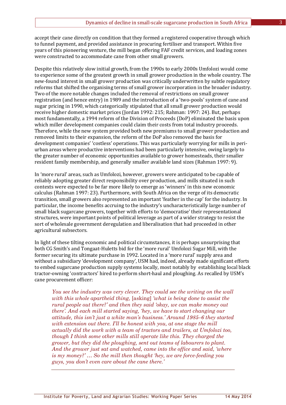accept their cane directly on condition that they formed a registered cooperative through which to funnel payment, and provided assistance in procuring fertiliser and transport. Within five years of this pioneering venture, the mill began offering FAF credit services, and loading zones were constructed to accommodate cane from other small growers.

Despite this relatively slow initial growth, from the 1990s to early 2000s Umfolozi would come to experience some of the greatest growth in small grower production in the whole country. The new-found interest in small grower production was critically underwritten by subtle regulatory reforms that shifted the organising terms of small grower incorporation in the broader industry. Two of the more notable changes included the removal of restrictions on small grower registration (and hence entry) in 1989 and the introduction of a 'two-pools' system of cane and sugar pricing in 1990, which categorically stipulated that all small grower production would receive higher domestic market prices (Jordan 1992: 215; Rahman: 1997: 24). But, perhaps most fundamentally, a 1994 reform of the Division of Proceeds (DoP) eliminated the basis upon which miller development companies could claim their costs from total industry proceeds. Therefore, while the new system provided both new premiums to small grower production and removed limits to their expansion, the reform of the DoP also removed the basis for development companies' 'costless' operations. This was particularly worrying for mills in periurban areas where productive interventions had been particularly intensive, owing largely to the greater number of economic opportunities available to grower homesteads, their smaller resident family membership, and generally smaller available land sizes (Rahman 1997: 9).

In 'more rural' areas, such as Umfolozi, however, growers were anticipated to be capable of reliably adopting greater direct responsibility over production, and mills situated in such contexts were expected to be far more likely to emerge as 'winners' in this new economic calculus (Rahman 1997: 23). Furthermore, with South Africa on the verge of its democratic transition, small growers also represented an important 'feather in the cap' for the industry. In particular, the income benefits accruing to the industry's uncharacteristically large number of small black sugarcane growers, together with efforts to 'democratise' their representational structures, were important points of political leverage as part of a wider strategy to resist the sort of wholesale government deregulation and liberalisation that had proceeded in other agricultural subsectors.

In light of these tilting economic and political circumstances, it is perhaps unsurprising that both CG Smith's and Tongaat-Huletts bid for the 'more rural' Umfolozi Sugar Mill, with the former securing its ultimate purchase in 1992. Located in a 'more rural' supply area and without a subsidiary 'development company', USM had, indeed, already made significant efforts to embed sugarcane production supply systems locally, most notably by establishing local black tractor-owning 'contractors' hired to perform short-haul and ploughing. As recalled by USM's cane procurement officer:

*You see the industry was very clever. They could see the writing on the wall with this whole apartheid thing,* [asking] *'what is being done to assist the rural people out there?' and then they said 'okay, we can make money out there'. And each mill started saying, 'hey, we have to start changing our attitude, this isn't just a white man's business.' Around 1985–6 they started with extension out there. I'll be honest with you, at one stage the mill actually did the work with a team of tractors and trailers, at Umfolozi too, though I think some other mills still operate like this. They charged the grower, but they did the ploughing, sent out teams of labourers to plant. And the grower just sat and watched, came into the office and said, 'where is my money?' … So the mill then thought 'hey, we are force-feeding you guys, you don't even care about the cane there.'*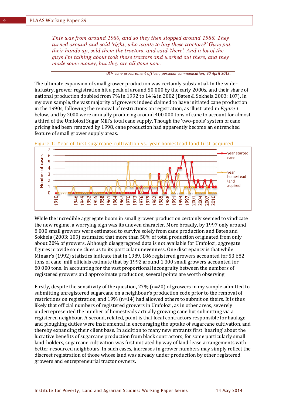*This was from around 1980, and so they then stopped around 1986. They turned around and said 'right, who wants to buy these tractors?' Guys put their hands up, sold them the tractors, and said 'there'. And a lot of the guys I'm talking about took those tractors and worked out there, and they made some money, but they are all gone now.*

*USM cane procurement officer, personal communication, 20 April 2012.*

The ultimate expansion of small grower production was certainly substantial. In the wider industry, grower registration hit a peak of around 50 000 by the early 2000s, and their share of national production doubled from 7% in 1992 to 14% in 2002 (Bates & Sokhela 2003: 107). In my own sample, the vast majority of growers indeed claimed to have initiated cane production in the 1990s, following the removal of restrictions on registration, as illustrated in *Figure 1* below, and by 2000 were annually producing around 400 000 tons of cane to account for almost a third of the Umfolozi Sugar Mill's total cane supply. Though the 'two-pools' system of cane pricing had been removed by 1998, cane production had apparently become an entrenched feature of small grower supply areas.



Figure 1: Year of first sugarcane cultivation vs. year homestead land first acquired

While the incredible aggregate boom in small grower production certainly seemed to vindicate the new regime, a worrying sign was its uneven character. More broadly, by 1997 only around 8 000 small growers were estimated to survive solely from cane production and Bates and Sokhela (2003: 109) estimated that more than 50% of total production originated from only about 20% of growers. Although disaggregated data is not available for Umfolozi, aggregate figures provide some clues as to its particular unevenness. One discrepancy is that while Minaar's (1992) statistics indicate that in 1989, 186 registered growers accounted for 53 682 tons of cane, mill officials estimate that by 1992 around 1 300 small growers accounted for 80 000 tons. In accounting for the vast proportional incongruity between the numbers of registered growers and approximate production, several points are worth observing.

Firstly, despite the sensitivity of the question, 27% (n=20) of growers in my sample admitted to submitting unregistered sugarcane on a neighbour's production code prior to the removal of restrictions on registration, and 19% (n=14) had allowed others to submit on theirs. It is thus likely that official numbers of registered growers in Umfolozi, as in other areas, severely underrepresented the number of homesteads actually growing cane but submitting via a registered neighbour. A second, related, point is that local contractors responsible for haulage and ploughing duties were instrumental in encouraging the uptake of sugarcane cultivation, and thereby expanding their client base. In addition to many new entrants first 'hearing' about the lucrative benefits of sugarcane production from black contractors, for some particularly small land-holders, sugarcane cultivation was first initiated by way of land-lease arrangements with better-resourced neighbours. In such cases, increases in grower numbers may simply reflect the discreet registration of those whose land was already under production by other registered growers and entrepreneurial tractor owners.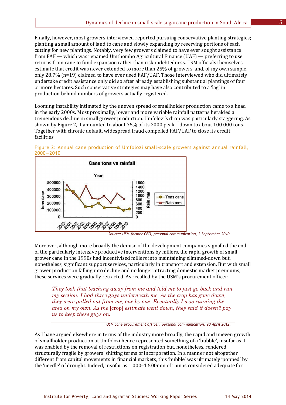Finally, however, most growers interviewed reported pursuing conservative planting strategies; planting a small amount of land to cane and slowly expanding by reserving portions of each cutting for new plantings. Notably, very few growers claimed to have ever sought assistance from FAF — which was renamed Umthombo Agricultural Finance (UAF) — preferring to use returns from cane to fund expansion rather than risk indebtedness. USM officials themselves estimate that credit was never extended to more than 25% of growers, and, of my own sample, only 28.7% (n=19) claimed to have ever used FAF/UAF. Those interviewed who did ultimately undertake credit assistance only did so after already establishing substantial plantings of four or more hectares. Such conservative strategies may have also contributed to a 'lag' in production behind numbers of growers actually registered.

Looming instability intimated by the uneven spread of smallholder production came to a head in the early 2000s. Most proximally, lower and more variable rainfall patterns heralded a tremendous decline in small grower production. Umfolozi's drop was particularly staggering. As shown by Figure 2, it amounted to about 75% of its 2000 peak – down to about 100 000 tons. Together with chronic default, widespread fraud compelled FAF/UAF to close its credit facilities.





*Source: USM former CEO, personal communication, 2 September 2010.*

Moreover, although more broadly the demise of the development companies signalled the end of the particularly intensive productive interventions by millers, the rapid growth of small grower cane in the 1990s had incentivised millers into maintaining slimmed-down but, nonetheless, significant support services, particularly in transport and extension. But with small grower production falling into decline and no longer attracting domestic market premiums, these services were gradually retracted. As recalled by the USM's procurement officer:

*They took that teaching away from me and told me to just go back and run my section. I had three guys underneath me. As the crop has gone down, they were pulled out from me, one by one. Eventually I was running the area on my own. As the* [crop] *estimate went down, they said it doesn't pay us to keep these guys on.*

*USM cane procurement officer, personal communication, 20 April 2012.*

As I have argued elsewhere in terms of the industry more broadly, the rapid and uneven growth of smallholder production at Umfolozi hence represented something of a 'bubble', insofar as it was enabled by the removal of restrictions on registration but, nonetheless, rendered structurally fragile by growers' shifting terms of incorporation. In a manner not altogether different from capital movements in financial markets, this 'bubble' was ultimately 'popped' by the 'needle' of drought. Indeed, insofar as 1 000–1 500mm of rain is considered adequate for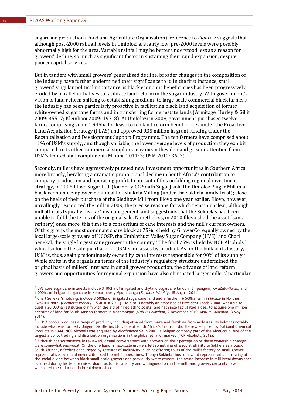sugarcane production (Food and Agriculture Organisation), reference to *Figure 2* suggests that although post-2000 rainfall levels in Umfolozi are fairly low, pre-2000 levels were possibly abnormally high for the area. Variable rainfall may be better understood less as a reason for growers' decline, so much as significant factor in sustaining their rapid expansion, despite poorer capital services.

But in tandem with small growers' generalised decline, broader changes in the composition of the industry have further undermined their significance to it. In the first instance, small growers' singular political importance as black economic beneficiaries has been progressively eroded by parallel initiatives to facilitate land reform in the sugar industry. With government's vision of land reform shifting to establishing medium- to large-scale commercial black farmers, the industry has been particularly proactive in facilitating black land acquisition of former white-owned sugarcane farms and in transferring former estate lands (Armitage, Hurley & Gillit 2009: 355–7; Kleinbooi 2009: 197–8). At Umfolozi in 2008, government purchased twelve farms comprising some 1 945ha for lease to ten land reform beneficiaries under the Proactive Land Acquisition Strategy (PLAS) and approved R35 million in grant funding under the Recapitalisation and Development Support Programme. The ten farmers have comprised about 11% of USM's supply, and though variable, the lower average levels of production they exhibit compared to its other commercial suppliers may mean they demand greater attention from USM's limited staff compliment (Madiba 2011: 3; USM 2012: 36–7).

Secondly, millers have aggressively pursued new investment opportunities in Southern Africa more broadly, heralding a dramatic proportional decline in South Africa's contribution to company production and operating profit. In pursuit of this unfolding regional investment strategy, in 2005 Illovo Sugar Ltd. (formerly CG Smith Sugar) sold the Umfolozi Sugar Mill in a black economic empowerment deal to Ushukela Milling (under the Sokhela family trust); close on the heels of their purchase of the Gledhow Mill from Illovo one year earlier. Illovo, however, unwillingly reacquired the mill in 2009, the precise reasons for which remain unclear, although mill officials typically invoke 'mismanagement' and suggestions that the Sokhelas had been unable to fulfil the terms of the original sale. Nonetheless, in 2010 Illovo shed the asset (sans refinery) once more, this time to a consortium of cane interests and the mill's current owners. Of this group, the most dominant share block at 75% is held by GrowerCo, equally owned by the local large-scale growers of UCOSP, the Umhlathuzi Valley Sugar Company (UVS)<sup>3</sup> and Charl Senekal, the single largest cane grower in the country.<sup>4</sup> The final 25% is held by NCP Alcohols,<sup>5</sup> who also form the sole purchaser of USM's molasses by-product. As for the bulk of its history, USM is, thus, again predominately owned by cane interests responsible for 90% of its supply.<sup>6</sup> While shifts in the organising terms of the industry's regulatory structure undermined the original basis of millers' interests in small grower production, the advance of land reform growers and opportunities for regional expansion have also eliminated larger millers' particular

 $^3$  UVS core sugarcane interests include 3 100ha of irrigated and dryland sugarcane lands in Empangeni, KwaZulu-Natal, and 1 000ha of irrigated sugarcane in Komatipoort, Mpumalanga (*Farmers' Weekl*y, 15 August 2011).

<sup>4</sup> Charl Senekal's holdings include 3 500ha of irrigated sugarcane land and a further 16 500ha farm in Mkuze in Northern KwaZulu-Natal (*Farmer's Weekly*, 15 August 2011). He also is notably an associate of President Jacob Zuma, was able to quell a 20 000ha restitution claim with the aid of hired ethnologists, and has since facilitated a deal to acquire one million hectares of land for South African farmers in Mozambique (*Mail & Guardian*, 2 November 2010; *Mail & Guardian*, 3 May 2011).

 $^5$  NCP Alcohols produces a range of products, including ethanol from maze and fertiliser from molasses. Its holdings notably include what was formerly Umgeni Distilleries Ltd., one of South Africa's first rum distilleries, acquired by National Chemical Products in 1944. NCP Alcohols was acquired by Alcofinance SA in 2001, a Belgian company part of the AlcoGroup, one of the largest alcohol trading and distribution organisations in the global ethanol market (NCP Alcohols, 2012).

 $^6$  Although not systematically reviewed, casual conversations with growers on their perception of these ownership changes were somewhat equivocal. On the one hand, small-scale growers felt something of a social affinity to Sokhela as a black South African, a feeling encouraged by gestures of inclusivity, such as offering tours of the mill's factory to small grower representatives who had never witnessed the mill's operations. Though Sokhela thus somewhat represented a narrowing of the social divide between black small-scale growers and previously white owners, the acute increase in mill breakdowns that occurred during his tenure raised doubt as to his capacity and willingness to run the mill, and growers certainly have welcomed the reduction in breakdowns since.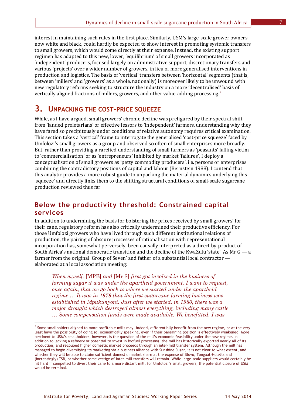interest in maintaining such rules in the first place. Similarly, USM's large-scale grower owners, now white and black, could hardly be expected to show interest in promoting systemic transfers to small growers, which would come directly at their expense. Instead, the existing support regimen has adapted to this new, lower, 'equilibrium' of small growers incorporated as 'independent' producers, focused largely on administrative support, discretionary transfers and various 'projects' over a wider number of growers, in lieu of more generalised interventions in production and logistics. The basis of 'vertical' transfers between 'horizontal' segments (that is, between 'millers' and 'growers' as a whole, nationally) is moreover likely to be unwound with new regulatory reforms seeking to structure the industry on a more 'decentralised' basis of vertically aligned fractions of millers, growers, and other value-adding processing.<sup>7</sup>

## **3. UNPACKING THE COST-PRICE SQUEEZE**

l

While, as I have argued, small growers' chronic decline was prefigured by their spectral shift from 'landed proletarians' or effective lessors to 'independent' farmers, understanding why they have fared so precipitously under conditions of relative autonomy requires critical examination. This section takes a 'vertical' frame to interrogate the generalised 'cost-price squeeze' faced by Umfolozi's small growers as a group and observed so often of small enterprises more broadly. But, rather than providing a rarefied understanding of small farmers as 'peasants' falling victim to 'commercialisation' or as 'entrepreneurs' inhibited by market 'failures', I deploy a conceptualisation of small growers as 'petty commodity producers', i.e. persons or enterprises combining the contradictory positions of capital and labour (Bernstein 1988). I contend that this analytic provides a more robust guide to unpacking the material dynamics underlying this 'squeeze' and directly links them to the shifting structural conditions of small-scale sugarcane production reviewed thus far.

### **Below the productivity threshold: Constrained capital services**

In addition to undermining the basis for bolstering the prices received by small growers' for their cane, regulatory reform has also critically undermined their productive efficiency. For those Umfolozi growers who have lived through such different institutional relations of production, the pairing of obscure processes of rationalisation with representational incorporation has, somewhat perversely, been causally interpreted as a direct by-product of South Africa's national democratic transition and the decline of the KwaZulu 'state'. As Mr G — a farmer from the original 'Group of Seven' and father of a substantial local contractor elaborated at a local association meeting:

*When myself,* [MPB] *and* [Mr S] *first got involved in the business of farming sugar it was under the apartheid government. I want to request, once again, that we go back to where we started under the apartheid regime … It was in 1979 that the first sugarcane farming business was established in Mpukunyoni. Just after we started, in 1980, there was a major drought which destroyed almost everything, including many cattle … Some compensation funds were made available. We benefitted. I was* 

 $^7$  Some smallholders aligned to more profitable mills may, indeed, differentially benefit from the new regime, or at the very least have the possibility of doing so, economically speaking, even if their bargaining position is effectively weakened. More pertinent to USM's smallholders, however, is the question of the mill's economic feasibility under the new regime. In addition to lacking a refinery or potential to invest in biofuel processing, the mill has historically exported nearly all of its production, and recouped higher domestic market proceeds through an inter-mill transfer system. Although the mill has managed to begin diversifying its marketing via a business alliance with Sunshine Sugar, it is not clear to what extent, and whether they will be able to claim sufficient domestic market share at the expense of Illovo, Tongaat-Huletts and (increasingly) TSB, or whether some vestige of inter-mill transfers will remain. While large-scale suppliers would certainly be hit hard if compelled to divert their cane to a more distant mill, for Umfolozi's small growers, the potential closure of USM would be terminal.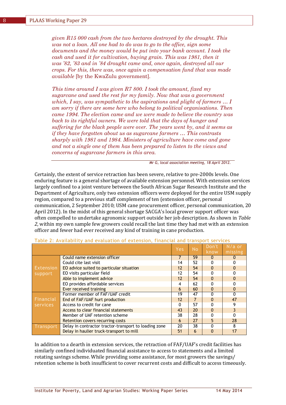*given R15 000 cash from the two hectares destroyed by the drought. This was not a loan. All one had to do was to go to the office, sign some documents and the money would be put into your bank account. I took the cash and used it for cultivation, buying grain. This was 1981, then it was '82, '83 and in '84 drought came and, once again, destroyed all our crops. For this, there was, once again a compensation fund that was made available* [by the KwaZulu government]*.*

*This time around I was given R7 800. I took the amount, fixed my sugarcane and used the rest for my family. Now that was a government which, I say, was sympathetic to the aspirations and plight of farmers … I am sorry if there are some here who belong to political organisations. Then came 1994. The election came and we were made to believe the country was back to its rightful owners. We were told that the days of hunger and suffering for the black people were over. The years went by, and it seems as if they have forgotten about us as sugarcane farmers … This contrasts sharply with 1981 and 1984. Ministers of agriculture have come and gone and not a single one of them has been prepared to listen to the views and concerns of sugarcane farmers in this area.*

*Mr G, local association meeting, 18 April 2012.*

Certainly, the extent of service retraction has been severe, relative to pre-2000s levels. One enduring feature is a general shortage of available extension personnel. With extension services largely confined to a joint venture between the South African Sugar Research Institute and the Department of Agriculture, only two extension officers were deployed for the entire USM supply region, compared to a previous staff complement of ten (extension officer, personal communication, 2 September 2010; USM cane procurement officer, personal communication, 20 April 2012). In the midst of this general shortage SACGA's local grower support officer was often compelled to undertake agronomic support outside her job description. As shown in *Table 2*, within my own sample few growers could recall the last time they had met with an extension officer and fewer had ever received any kind of training in cane production.

|                  |                                                       | <b>Yes</b>        | <b>No</b> | Don't<br>know | $N/a$ or<br>missing |
|------------------|-------------------------------------------------------|-------------------|-----------|---------------|---------------------|
|                  | Could name extension officer                          |                   | 59        | $\Omega$      | $\Omega$            |
|                  | Could cite last visit                                 | 14                | 52        | 0             | 0                   |
| <b>Extension</b> | EO advice suited to particular situation              | $12 \overline{ }$ | 54        | $\Omega$      | $\mathbf{0}$        |
| support          | EO visits particular field                            | 12                | 54        | 0             | $\Omega$            |
|                  | Able to implement advice                              | 12                | 54        | $\Omega$      | $\Omega$            |
|                  | EO provides affordable services                       | 4                 | 62        | U             | $\Omega$            |
|                  | Ever received training                                | 6                 | 60        | $\Omega$      | $\Omega$            |
|                  | Former member of FAF/UAF credit                       | 19                | 47        | 0             | $\Omega$            |
| Financial        | End of FAF/UAF hurt production                        | 12                |           | $\Omega$      | 47                  |
| services         | Access to credit for cane                             | $\Omega$          | 57        | 0             | 9                   |
|                  | Access to clear financial statements                  | 43                | 20        | $\Omega$      | 3                   |
|                  | Member of UAF retention scheme                        | 38                | 28        | 0             | $\Omega$            |
|                  | Retention covers recurring costs                      | 6                 | 27        | 5             | 28                  |
| <b>Transport</b> | Delay in contractor tractor-transport to loading zone | 20                | 38        | 0             | 8                   |
|                  | Delay in haulier truck-transport to mill              | 51                | 6         | $\Omega$      | 17                  |

Table 2: Availability and evaluation of extension, financial and transport services

In addition to a dearth in extension services, the retraction of FAF/UAF's credit facilities has similarly confined individuated financial assistance to access to statements and a limited rotating savings scheme. While providing some assistance, for most growers the savings/ retention scheme is both insufficient to cover recurrent costs and difficult to access timeously.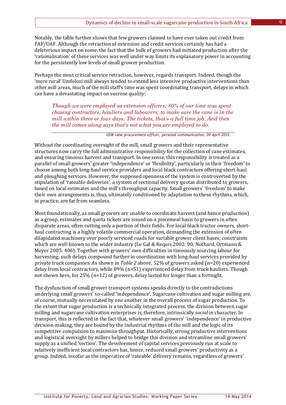Notably, the table further shows that few growers claimed to have ever taken out credit from FAF/UAF. Although the retraction of extension and credit services certainly has had a deleterious impact on some, the fact that the bulk of growers had initiated production after the 'rationalisation' of these services was well under way limits its explanatory power in accounting for the persistently low levels of small grower production.

Perhaps the most critical service retraction, however, regards transport. Indeed, though the 'more rural' Umfolozi mill always tended to extend less intensive productive interventions than other mill areas, much of the mill staff's time was spent coordinating transport, delays in which can have a devastating impact on sucrose quality:

*Though we were employed as extension officers, 80% of our time was spent chasing contractors, hauliers and labourers, to make sure the cane is in the mill within three or four days. The tickets, that's a full time job. And then the mill comes along says that's not what you are employed to do.*

*USM cane procurement officer, personal communication, 20 April 2012.*

Without the coordinating oversight of the mill, small growers and their representative structures now carry the full administrative responsibility for the collection of cane estimates, and ensuring timeous harvest and transport. In one sense, this responsibility is treated as a parallel of small growers' greater 'independence' or 'flexibility', particularly in their 'freedom' to choose among both long-haul service providers and local black contractors offering short-haul and ploughing services. However, the supposed openness of the system is controverted by the stipulation of 'rateable deliveries', a system of sectional delivery quotas distributed to growers, based on local estimates and the mill's throughput capacity. Small growers' 'freedom' to make their own arrangements is, thus, ultimately conditioned by adaptation to these rhythms, which, in practice, are far from seamless.

Most foundationally, as small growers are unable to coordinate harvest (and hence production) as a group, estimates and quota tickets are issued on a piecemeal basis to growers in often disparate areas, often cutting only a portion of their fields. For local black tractor owners, shorthaul contracting is a highly volatile commercial operation, demanding the extension of often dilapidated machinery over poorly serviced roads for variable grower client bases; constraints which are well known to the wider industry (Le Gal & Requis 2002: 90; Nothard, Ortmann & Meyer 2005: 406). Together with growers' own difficulties in timeously sourcing labour for harvesting, such delays compound further in coordination with long-haul services provided by private truck companies. As shown in *Table 2* above, 52% of growers asked (n=20) experienced delay from local contractors, while 89% (n=51) experienced delay from truck hauliers. Though not shown here, for 25% (n=12) of growers, delay lasted for longer than a fortnight.

The dysfunction of small grower transport systems speaks directly to the contradictions underlying small growers' so-called 'independence'. Sugarcane cultivation and sugar milling are, of course, mutually necessitated by one another in the overall process of sugar production. To the extent that sugar production is a technically integrated process, the division between sugar milling and sugarcane cultivation enterprises is, therefore, intrinsically *social* in character. In transport, this is reflected in the fact that, whatever small growers' 'independence' in productive decision-making, they are bound by the industrial rhythms of the mill and the logic of its competitive compulsion to maximise throughput. Historically, strong productive interventions and logistical oversight by millers helped to bridge this division and streamline small growers' supply as a unified 'section'. The devolvement of capital services previously run at scale to relatively inefficient local contractors has, hence, reduced small growers' productivity as a group. Indeed, insofar as the imperative of 'rateable' delivery remains, regardless of growers'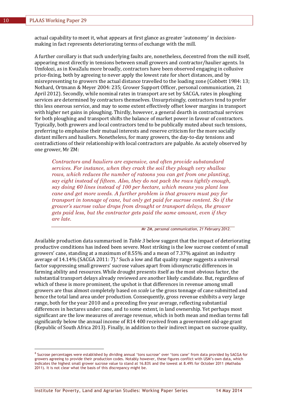actual capability to meet it, what appears at first glance as greater 'autonomy' in decisionmaking in fact represents deteriorating terms of exchange with the mill.

A further corollary is that such underlying faults are, nonetheless, decentred from the mill itself, appearing most directly in tensions between small growers and contractor/haulier agents. In Umfolozi, as in KwaZulu more broadly, contractors have been observed engaging in collusive price-fixing, both by agreeing to never apply the lowest rate for short distances, and by misrepresenting to growers the actual distance travelled to the loading zone (Cobbett 1984: 13; Nothard, Ortmann & Meyer 2004: 235; Grower Support Officer, personal communication, 21 April 2012). Secondly, while nominal rates in transport are set by SACGA, rates in ploughing services are determined by contractors themselves. Unsurprisingly, contractors tend to prefer this less onerous service, and may to some extent effectively offset lower margins in transport with higher net gains in ploughing. Thirdly, however, a general dearth in contractual services for both ploughing and transport shifts the balance of market power in favour of contractors. Typically, both growers and local contractors tend to be publically muted about such tensions, preferring to emphasise their mutual interests and reserve criticism for the more socially distant millers and hauliers. Nonetheless, for many growers, the day-to-day tensions and contradictions of their relationship with local contractors are palpable. As acutely observed by one grower, Mr ZM:

*Contractors and hauliers are expensive, and often provide substandard services. For instance, when they crack the soil they plough very shallow rows, which reduces the number of ratoons you can get from one planting, say eight instead of fifteen. Also, they do not pack the rows tightly enough, say doing 60 lines instead of 100 per hectare, which means you plant less cane and get more weeds. A further problem is that growers must pay for transport in tonnage of cane, but only get paid for sucrose content. So if the grower's sucrose value drops from drought or transport delays, the grower gets paid less, but the contractor gets paid the same amount, even if they are late.*

*Mr ZM, personal communication, 21 February 2012.*

Available production data summarised in *Table 3* below suggest that the impact of deteriorating productive conditions has indeed been severe. Most striking is the low sucrose content of small growers' cane, standing at a maximum of 8.55% and a mean of 7.37% against an industry average of 14.14% (SACGA 2011: 7).<sup>8</sup> Such a low and flat quality range suggests a universal factor suppressing small growers' sucrose values apart from idiosyncratic differences in farming ability and resources. While drought presents itself as the most obvious factor, the substantial transport delays already reviewed are another likely candidate. But, regardless of which of these is more prominent, the upshot is that differences in revenue among small growers are thus almost completely based on *scale* i.e the gross tonnage of cane submitted and hence the total land area under production. Consequently, gross revenue exhibits a very large range, both for the year 2010 and a preceding five year average, reflecting substantial differences in hectares under cane, and to some extent, in land ownership. Yet perhaps most significant are the low measures of average revenue, which in both mean and median terms fall significantly below the annual income of R14 400 received from a government old-age grant (Republic of South Africa 2013). Finally, in addition to their indirect impact on sucrose quality,

<sup>&</sup>lt;sup>8</sup> Sucrose percentages were established by dividing annual 'tons sucrose' over 'tons cane' from data provided by SACGA for growers agreeing to provide their production codes. Notably however, these figures conflict with USM's own data, which indicates the highest small grower sucrose value to stand at 16.83% and the lowest at 8.49% for October 2011 (Mathaba 2011). It is not clear what the basis of this discrepancy might be.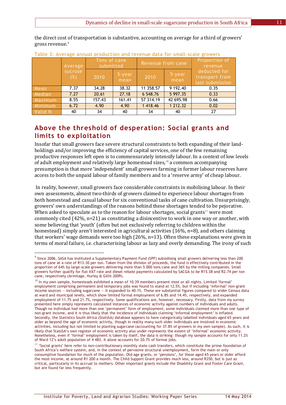the direct cost of transportation is substantive, accounting on average for a third of growers' gross revenue.<sup>9</sup>

|         | Average        | Tons of cane<br>submitted |                | Revenue from cane |                | Proportion of<br>revenue                          |  |
|---------|----------------|---------------------------|----------------|-------------------|----------------|---------------------------------------------------|--|
|         | sucrose<br>(%) | 2010                      | 5-year<br>mean | 2010              | 5-year<br>mean | deducted for<br>transport from<br>last submission |  |
| Mean    | 7.37           | 34.28                     | 38.32          | 11 358.57         | 9 192.40       | 0.35                                              |  |
| Median  | 7.27           | 20.61                     | 27.18          | 6 548.76          | 5 997.35       | 0.33                                              |  |
| Maximum | 8.55           | 157.43                    | 161.41         | 57 314.19         | 42 695.98      | 0.66                                              |  |
| Minimum | 6.72           | 4.90                      | 4.90           | 1 418.46          | 1 212.32       | 0.02                                              |  |
| Valid N | 40             | 34                        | 40             | 34                | 40             | 27                                                |  |

| Table 3: Average annual production and revenue data for small-scale growers |  |  |  |
|-----------------------------------------------------------------------------|--|--|--|
|-----------------------------------------------------------------------------|--|--|--|

## **Above the threshold of desperation: Social grants and limits to exploitation**

Insofar that small growers face severe structural constraints to both expanding of their landholdings and/or improving the efficiency of capital services, one of the few remaining productive responses left open is to commensurately intensify labour. In a context of low levels of adult employment and relatively large homestead sizes,<sup>10</sup> a common accompanying presumption is that more 'independent' small growers farming in former labour reserves have access to both the unpaid labour of family members and to a 'reserve army' of cheap labour.

In reality, however, small growers face considerable constraints in mobilising labour. In their own assessments, almost two-thirds of growers claimed to experience labour shortages from both homestead and casual labour for six conventional tasks of cane cultivation. Unsurprisingly, growers' own understandings of the reasons behind these shortages tended to be pejorative. When asked to speculate as to the reason for labour shortages, social grants $11$  were most commonly cited (42%, n=21) as constituting a disincentive to work in one way or another, with some believing that 'youth' (often but not exclusively referring to children within the homestead) simply aren't interested in agricultural activities (16%, n=8), and others claiming that workers' wage demands were too high (26%, n=13). Often these explanations were given in terms of moral failure, i.e. characterising labour as lazy and overly demanding. The irony of such

<sup>&</sup>lt;sup>9</sup> Since 2006, SASA has instituted a Supplementary Payment Fund (SPF) subsidising small growers delivering less than 200 tons of cane at a rate of R13.30 per ton. Taken from the division of proceeds, the fund is effectively contributed in the proportion of 64% by large-scale growers delivering more than 5 000 tons cane and 36% by the milling companies. Small growers further qualify for flat VAT rate and diesel rebate payments calculated by SACGA to be R15.38 and R2.74 per ton cane, respectively (Armitage, Hurley & Gillit 2009).

<sup>&</sup>lt;sup>10</sup> In my own sample, homesteads exhibited a mean of 10.39 members present most or all nights. Limited 'formal' employment comprising permanent and temporary jobs was found to stand at 12.5%, but if including 'informal' non-grant income sources — including sugarcane — it expanded to 40.1%. These are substantial figures compared to wider Census data at ward and municipal levels, which show limited formal employment of 6.8% and 14.4%, respectively, and expanded employment of 11.7% and 21.7%, respectively. Some qualifications are, however, necessary. Firstly, data from my survey presented here simply represents calculated instances of economic activity against numbers of individuals and adults. Though no individual had more than one 'permanent' form of employment, some individuals claimed more than one type of non-grant income, and it is thus likely that the incidence of individuals claiming 'informal employment' is inflated. Secondly, the Statistics South Africa (StatsSA) database appears to have categorically labelled individuals aged 65 years and older as beyond the age of economic activity, though in reality many such older individuals are involved in economic activities, including but not limited to planting sugarcane (accounting for 37.8% of growers in my own sample). As such, it is likely that StatsSA's own register of economic activity also under-represents the extent of 'informal' economic activity. Nonetheless, even if 'formal' employment is taken by itself, the data is striking: though my sample accounts for only 11.2% of Ward 12's adult population of 4 483, it alone accounts for 20.7% of formal jobs.

<sup>&</sup>lt;sup>11</sup> 'Social grants' here refer to non-contributionary monthly state cash transfers, which constitute the prime foundation of South Africa's welfare system, and, in the context of pervasive structural unemployment, form the main or only consumptive foundation for much of the population. Old-age grants, or 'pensions', for those aged 65 years or older afford the most income, at around R1 200 a month. The Child Support Grant provides much less, around R350, but is just as critical, particularly in its accrual to mothers. Other important grants include the Disability Grant and Foster Care Grant, but are found far less frequently.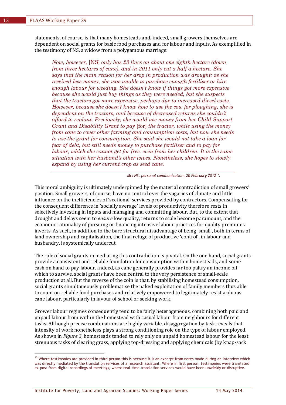statements, of course, is that many homesteads and, indeed, small growers themselves are dependent on social grants for basic food purchases and for labour and inputs. As exemplified in the testimony of NS, a widow from a polygamous marriage:

*Now, however,* [NS] *only has 23 lines on about one eighth hectare (down from three hectares of cane), and in 2011 only cut a half a hectare. She says that the main reason for her drop in production was drought: as she received less money, she was unable to purchase enough fertiliser or hire enough labour for weeding. She doesn't know if things got more expensive because she would just buy things as they were needed, but she suspects that the tractors got more expensive, perhaps due to increased diesel costs. However, because she doesn't know how to use the cow for ploughing, she is dependent on the tractors, and because of decreased returns she couldn't afford to replant. Previously, she would use money from her Child Support Grant and Disability Grant to pay* [for] *the tractor, while using the money from cane to cover other farming and consumption costs, but now she needs to use the grant for consumption. She said she would not take a loan for fear of debt, but still needs money to purchase fertiliser and to pay for labour, which she cannot get for free, even from her children. It is the same situation with her husband's other wives. Nonetheless, she hopes to slowly expand by using her current crop as seed cane.*

*Mrs NS, personal communication, 20 February 2012<sup>12</sup> .*

This moral ambiguity is ultimately underpinned by the material contradiction of small growers' position. Small growers, of course, have no control over the vagaries of climate and little influence on the inefficiencies of 'sectional' services provided by contractors. Compensating for the consequent difference in 'socially average' levels of productivity therefore rests in selectively investing in inputs and managing and committing labour. But, to the extent that drought and delays seem to *ensure* low quality, returns to scale become paramount, and the economic rationality of pursuing or financing intensive labour practices for quality premiums inverts. As such, in addition to the bare structural disadvantage of being 'small', both in terms of land ownership and capitalisation, the final refuge of productive 'control', in labour and husbandry, is systemically undercut.

The role of social grants in mediating this contradiction is pivotal. On the one hand, social grants provide a consistent and reliable foundation for consumption within homesteads, and some cash on hand to pay labour. Indeed, as cane generally provides far too paltry an income off which to survive, social grants have been central to the very persistence of small-scale production at all. But the reverse of the coin is that, by stabilising homestead consumption, social grants simultaneously problematise the naked exploitation of family members thus able to count on reliable food purchases and relatively empowered to legitimately resist arduous cane labour, particularly in favour of school or seeking work.

Grower labour regimes consequently tend to be fairly heterogeneous, combining both paid and unpaid labour from within the homestead with casual labour from neighbours for different tasks. Although precise combinations are highly variable, disaggregation by task reveals that intensity of work nonetheless plays a strong conditioning role on the type of labour employed. As shown in *Figure 3*, homesteads tended to rely only on unpaid homestead labour for the least strenuous tasks of clearing grass, applying top-dressing and applying chemicals (by knap-sack

<sup>&</sup>lt;sup>12</sup> Where testimonies are provided in third person this is because it is an excerpt from notes made during an interview which was directly mediated by the translation services of a research assistant. Where in first person, testimonies were translated ex-post from digital recordings of meetings, where real-time translation services would have been unwieldy or disruptive.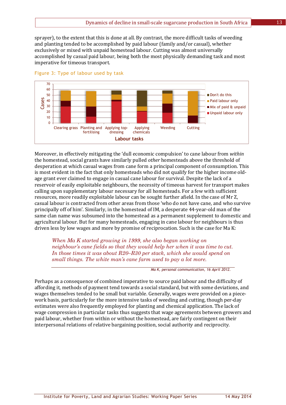sprayer), to the extent that this is done at all. By contrast, the more difficult tasks of weeding and planting tended to be accomplished by paid labour (family and/or casual), whether exclusively or mixed with unpaid homestead labour. Cutting was almost universally accomplished by casual paid labour, being both the most physically demanding task and most imperative for timeous transport.



#### Figure 3: Type of labour used by task

Moreover, in effectively mitigating the 'dull economic compulsion' to cane labour from *within* the homestead, social grants have similarly pulled *other* homesteads above the threshold of desperation at which casual wages from cane form a principal component of consumption. This is most evident in the fact that only homesteads who did not qualify for the higher income oldage grant ever claimed to engage in casual cane labour for survival. Despite the lack of a reservoir of easily exploitable neighbours, the necessity of timeous harvest for transport makes calling upon supplementary labour necessary for all homesteads. For a few with sufficient resources, more readily exploitable labour can be sought further afield. In the case of Mr Z, casual labour is contracted from other areas from those 'who do not have cane, and who survive principally off of him'. Similarly, in the homestead of IM, a desperate 44-year-old man of the same clan name was subsumed into the homestead as a permanent supplement to domestic and agricultural labour. But for many homesteads, engaging in cane labour for neighbours is thus driven less by low wages and more by promise of reciprocation. Such is the case for Ma K:

*When Ma K started growing in 1999, she also began working on neighbour's cane fields so that they would help her when it was time to cut. In those times it was about R20–R30 per stack, which she would spend on small things. The white man's cane farm used to pay a lot more.* 

*Ma K, personal communication, 16 April 2012.*

Perhaps as a consequence of combined imperative to source paid labour and the difficulty of affording it, methods of payment tend towards a social standard, but with some deviations, and wages themselves tended to be small but variable. Generally, wages were provided on a piecework basis, particularly for the more intensive tasks of weeding and cutting, though per-day estimates were also frequently employed for planting and chemical application. The lack of wage compression in particular tasks thus suggests that wage agreements between growers and paid labour, whether from within or without the homestead, are fairly contingent on their interpersonal relations of relative bargaining position, social authority and reciprocity.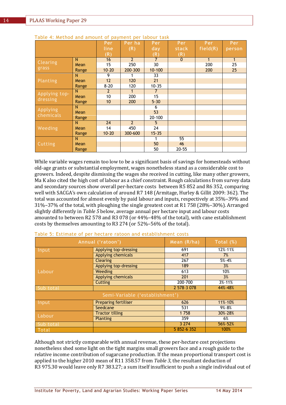| Table 1. McChod and amount or payment per tabour table |       | Per            | Per ha         | Per             | Per             | Per          | Per          |
|--------------------------------------------------------|-------|----------------|----------------|-----------------|-----------------|--------------|--------------|
|                                                        |       | line           | (R)            | day             | stack           | field(R)     | person       |
|                                                        |       | (R)            |                | (R)             | (R)             |              |              |
| <b>Clearing</b>                                        | N     | 16             | $\overline{2}$ | $\overline{7}$  | $\mathbf{0}$    | $\mathbf{1}$ | $\mathbf{1}$ |
|                                                        | Mean  | 15             | 250            | 30              |                 | 200          | 25           |
| grass                                                  | Range | $10 - 20$      | 200-300        | $10 - 100$      |                 | 200          | 25           |
|                                                        | N     | 9              |                | 33              |                 |              |              |
| Planting                                               | Mean  | 12             | 120            | 21              |                 |              |              |
|                                                        | Range | $8 - 20$       | 120            | $10 - 35$       |                 |              |              |
|                                                        | N     | $\overline{2}$ | $\mathbf{1}$   | 7               |                 |              |              |
| Applying top-                                          | Mean  | 10             | 200            | 15              |                 |              |              |
| dressing                                               | Range | 10             | 200            | $5 - 30$        |                 |              |              |
| Applying                                               | N     |                |                | 6               |                 |              |              |
|                                                        | Mean  |                |                | 53              |                 |              |              |
| chemicals                                              | Range |                |                | 20-100          |                 |              |              |
|                                                        | N     | 24             | $\overline{2}$ | $5\overline{)}$ |                 |              |              |
| Weeding                                                | Mean  | 14             | 450            | 24              |                 |              |              |
|                                                        | Range | $10 - 20$      | 300-600        | $15 - 35$       |                 |              |              |
|                                                        | N     |                |                |                 | $\overline{55}$ |              |              |
| Cutting                                                | Mean  |                |                | 50              | 46              |              |              |
|                                                        | Range |                |                | 50              | $20 - 55$       |              |              |

#### Table 4: Method and amount of payment per labour task

While variable wages remain too low to be a significant basis of savings for homesteads without old-age grants or substantial employment, wages nonetheless stand as a considerable cost to growers. Indeed, despite dismissing the wages she received in cutting, like many other growers, Ma K also cited the high cost of labour as a chief constraint. Rough calculations from survey data and secondary sources show overall per-hectare costs between R5 852 and R6 352, comparing well with SACGA's own calculation of around R7 148 (Armitage, Hurley & Gillit 2009: 362). The total was accounted for almost evenly by paid labour and inputs, respectively at 35%–39% and 31%–37% of the total, with ploughing the single greatest cost at R1 758 (28%–30%). Arranged slightly differently in *Table 5* below, average annual per hectare input and labour costs amounted to between R2 578 and R3 078 (or 44%–48% of the total), with cane establishment costs by themselves amounting to R3 274 (or 52%–56% of the total).

| Annual ('ratoon') | Mean (R/ha)                     | Total $(\%)$ |            |
|-------------------|---------------------------------|--------------|------------|
| Input             | Applying top-dressing           | 691          | 12%-11%    |
|                   | Applying chemicals              | 417          | 7%         |
|                   | Clearing                        | 267          | $5% - 4%$  |
|                   | Applying top-dressing           | 189          | 3%         |
| Labour            | Weeding                         | 613          | 10%        |
|                   | Applying chemicals              | 201          | 3%         |
|                   | Cutting                         | 200-700      | $3% - 11%$ |
| Sub total         |                                 | 2 578-3 078  | 44%-48%    |
|                   | Semi-Variable ('establishment') |              |            |
| <b>Input</b>      | Preparing fertiliser            | 626          | 11%-10%    |
|                   | Seedcane                        | 531          | $9% - 8%$  |
| Labour            | <b>Tractor tilling</b>          | 1758         | 30%-28%    |
|                   | <b>Planting</b>                 | 359          | 6%         |
| Sub total         |                                 | 3 2 7 4      | 56%-52%    |
| Total             |                                 | 5 852-6 352  | 100%       |

|  |  |  |  |  |  | Table 5: Estimate of per hectare ratoon and establishment costs |  |
|--|--|--|--|--|--|-----------------------------------------------------------------|--|
|--|--|--|--|--|--|-----------------------------------------------------------------|--|

Although not strictly comparable with annual revenue, these per-hectare cost projections nonetheless shed some light on the tight margins small growers face and a rough guide to the relative income contribution of sugarcane production. If the mean proportional transport cost is applied to the higher 2010 mean of R11 358.57 from *Table 3*, the resultant deduction of R3 975.30 would leave only R7 383.27; a sum itself insufficient to push a single individual out of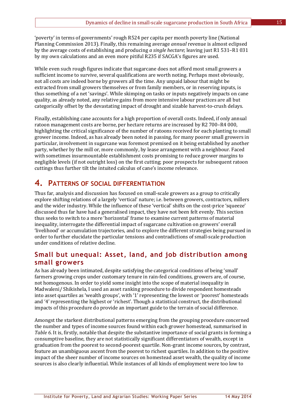'poverty' in terms of governments' rough R524 per capita per month poverty line (National Planning Commission 2013). Finally, this remaining average *annual* revenue is almost eclipsed by the average costs of establishing and producing *a single hectare*; leaving just R1 531–R1 031 by my own calculations and an even more pitiful R235 if SACGA's figures are used.

While even such rough figures indicate that sugarcane does not afford most small growers a sufficient income to survive, several qualifications are worth noting. Perhaps most obviously, not all costs are indeed borne by growers all the time. Any unpaid labour that might be extracted from small growers themselves or from family members, or in reserving inputs, is thus something of a net 'savings'. While skimping on tasks or inputs negatively impacts on cane quality, as already noted, any relative gains from more intensive labour practices are all but categorically offset by the devastating impact of drought and sizable harvest-to-crush delays.

Finally, establishing cane accounts for a high proportion of overall costs. Indeed, if only annual ratoon management costs are borne, per hectare returns are increased by R2 700–R4 000, highlighting the critical significance of the number of ratoons received for each planting to small grower income. Indeed, as has already been noted in passing, for many poorer small growers in particular, involvement in sugarcane was foremost premised on it being established by another party, whether by the mill or, more commonly, by lease arrangement with a neighbour. Faced with sometimes insurmountable establishment costs promising to reduce grower margins to negligible levels (if not outright loss) on the first cutting; poor prospects for subsequent ratoon cuttings thus further tilt the intuited calculus of cane's income relevance.

## **4. PATTERNS OF SOCIAL DIFFERENTIATION**

Thus far, analysis and discussion has focused on small-scale growers as a group to critically explore shifting relations of a largely 'vertical' nature; i.e. between growers, contractors, millers and the wider industry. While the influence of these 'vertical' shifts on the cost-price 'squeeze' discussed thus far have had a generalised impact, they have not been felt evenly. This section thus seeks to switch to a more 'horizontal' frame to examine current patterns of material inequality, interrogate the differential impact of sugarcane cultivation on growers' overall 'livelihood' or accumulation trajectories, and to explore the different strategies being pursued in order to further elucidate the particular tensions and contradictions of small-scale production under conditions of relative decline.

### **Small but unequal: Asset, land, and job distribution among small growers**

As has already been intimated, despite satisfying the categorical conditions of being 'small' farmers growing crops under customary tenure in rain-fed conditions, growers are, of course, not homogenous. In order to yield some insight into the scope of material inequality in Madwaleni/ Shikishela, I used an asset ranking procedure to divide respondent homesteads into asset quartiles as 'wealth groups', with '1' representing the lowest or 'poorest' homesteads and '4' representing the highest or 'richest'. Though a statistical construct, the distributional impacts of this procedure do provide an important guide to the terrain of social difference.

Amongst the starkest distributional patterns emerging from the grouping procedure concerned the number and types of income sources found within each grower homestead, summarised in *Table 6*. It is, firstly, notable that despite the substantive importance of social grants in forming a consumptive baseline, they are not statistically significant differentiators of wealth, except in graduation from the poorest to second-poorest quartile. Non-grant income sources, by contrast, feature an unambiguous ascent from the poorest to richest quartiles. In addition to the positive impact of the sheer number of income sources on homestead asset wealth, the quality of income sources is also clearly influential. While instances of all kinds of employment were too low to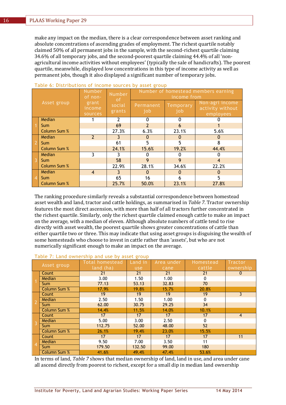make any impact on the median, there is a clear correspondence between asset ranking and absolute concentrations of ascending grades of employment. The richest quartile notably claimed 50% of all permanent jobs in the sample, with the second-richest quartile claiming 34.6% of all temporary jobs, and the second-poorest quartile claiming 44.4% of all 'nonagricultural income activities without employees' (typically the sale of handicrafts). The poorest quartile, meanwhile, displayed low concentrations in this type of income activity as well as permanent jobs, though it also displayed a significant number of temporary jobs.

| Asset group    |               | <b>Number</b><br>of non-   | Number<br>of.    | Number of homestead members earning<br>income from |                  |                                                  |  |
|----------------|---------------|----------------------------|------------------|----------------------------------------------------|------------------|--------------------------------------------------|--|
|                |               | grant<br>income<br>sources | social<br>grants | Permanent<br>job                                   | Temporary<br>job | Non-agri income<br>activity without<br>employees |  |
|                | Median        |                            | 2                |                                                    | 0                |                                                  |  |
|                | Sum           |                            | 69               |                                                    | 6                |                                                  |  |
|                | Column Sum %  |                            | 27.3%            | 6.3%                                               | 23.1%            | 5.6%                                             |  |
|                | <b>Median</b> | $\overline{\phantom{0}}$   |                  | 0                                                  | $\Omega$         | 0                                                |  |
|                | Sum           |                            | 61               |                                                    | 5                | 8                                                |  |
|                | Column Sum %  |                            | 24.1%            | 15.6%                                              | 19.2%            | 44.4%                                            |  |
|                | <b>Median</b> | ٦                          |                  |                                                    | O                |                                                  |  |
|                | Sum           |                            | 58               | 9                                                  | 9                | 4                                                |  |
|                | Column Sum %  |                            | 22.9%            | 28.1%                                              | 34.6%            | 22.2%                                            |  |
|                | Median        | $\overline{4}$             | 3                | 0                                                  | $\Omega$         | 0                                                |  |
| $\overline{4}$ | Sum           |                            | 65               | 16                                                 | 6                |                                                  |  |
|                | Column Sum %  |                            | 25.7%            | 50.0%                                              | 23.1%            | 27.8%                                            |  |

#### Table 6: Distributions of income sources by asset group

The ranking procedure similarly reveals a substantial correspondence between homestead asset wealth and land, tractor and cattle holdings, as summarised in *Table 7*. Tractor ownership features the most direct ascension, with more than half of all tractors further concentrated in the richest quartile. Similarly, only the richest quartile claimed enough cattle to make an impact on the average, with a median of eleven. Although absolute numbers of cattle tend to rise directly with asset wealth, the poorest quartile shows greater concentrations of cattle than either quartile two or three. This may indicate that using asset groups is disguising the wealth of some homesteads who choose to invest in cattle rather than 'assets', but who are not numerically significant enough to make an impact on the average.

| Asset group |              | <b>Total homestead</b> | Land in    | Area under | Homestead    | <b>Tractor</b> |
|-------------|--------------|------------------------|------------|------------|--------------|----------------|
|             |              | land (ha)              | <b>use</b> | cane       | cattle       | ownership      |
|             | Count        | 21                     | 21         | 21         | 21           | $\mathbf{0}$   |
|             | Median       | 3.00                   | 1.50       | 1.00       | $\Omega$     |                |
|             | Sum          | 77.13                  | 53.13      | 32.83      | 70           |                |
|             | Column Sum % | 17.9%                  | 19.8%      | 15.7%      | 20.8%        |                |
|             | Count        | 19                     | 19         | 19         | 19           | 3              |
|             | Median       | 2.50                   | 1.50       | 1.00       | $\mathbf{0}$ |                |
|             | <b>Sum</b>   | 62.00                  | 30.75      | 29.25      | 34           |                |
|             | Column Sum % | 14.4%                  | 11.5%      | 14.0%      | 10.1%        |                |
|             | Count        | 17                     | 17         | 17         | 17           | $\overline{4}$ |
|             | Median       | 5.00                   | 3.00       | 2.50       | $\mathbf{0}$ |                |
|             | <b>Sum</b>   | 112.75                 | 52.00      | 48.00      | 52           |                |
|             | Column Sum % | 26.1%                  | 19.4%      | 23.0%      | 15.5%        |                |
|             | Count        | 17                     | 17         | 17         | 17           | 11             |
| $\vert 4$   | Median       | 9.50                   | 7.00       | 3.50       | 11           |                |
|             | <b>Sum</b>   | 179.50                 | 132.50     | 99.00      | 180          |                |
|             | Column Sum % | 41.6%                  | 49.4%      | 47.4%      | 53.6%        |                |

#### Table 7: Land ownership and use by asset group

In terms of land, *Table 7* shows that median ownership of land, land in use, and area under cane all ascend directly from poorest to richest, except for a small dip in median land ownership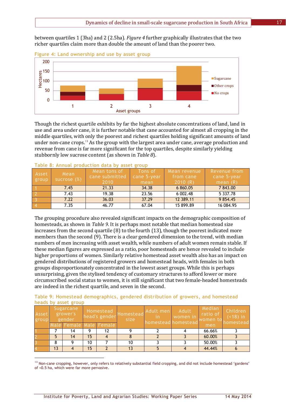between quartiles 1 (3ha) and 2 (2.5ha). *Figure 4* further graphically illustrates that the two richer quartiles claim more than double the amount of land than the poorer two.



Though the richest quartile exhibits by far the highest absolute concentrations of land, land in use and area under cane, it is further notable that cane accounted for almost all cropping in the middle quartiles, with only the poorest and richest quartiles holding significant amounts of land under non-cane crops.<sup>13</sup> As the group with the largest area under cane, average production and revenue from cane is far more significant for the top quartiles, despite similarly yielding stubbornly low sucrose content (as shown in *Table 8*).

| Asset<br>group | Mean<br>sucrose (%) | Mean tons of<br>cane submitted<br>2010 | Tons of<br>cane 5-year<br>mean | 'Mean revenue.<br>from cane<br>2010(R) | Revenue from<br>cane 5-year<br>mean $(R)$ |
|----------------|---------------------|----------------------------------------|--------------------------------|----------------------------------------|-------------------------------------------|
|                | 7.45                | 21.33                                  | 34.38                          | 6 860.05                               | 7 843.00                                  |
|                | 7.43                | 19.38                                  | 23.56                          | 6 002.48                               | 5 3 3 7 . 7 8                             |
|                | 7.22                | 36.03                                  | 37.29                          | 12 389.11                              | 9 8 5 4 . 4 5                             |
|                | 7.35                | 46.77                                  | 67.04                          | 15 899.89                              | 16 084.95                                 |

#### Table 8: Annual production data by asset group

The grouping procedure also revealed significant impacts on the demographic composition of homesteads, as shown in *Table 9*. It is perhaps most notable that median homestead size increases from the second quartile (8) to the fourth (13), though the poorest indicated more members than the second (9). There is a clear gendered dimension to the trend, with median numbers of men increasing with asset wealth, while numbers of adult women remain stable. If these median figures are expressed as a ratio, poor homesteads are hence revealed to include higher proportions of women. Similarly relative homestead asset wealth also has an impact on gendered distributions of registered growers and homestead heads, with females in both groups disproportionately concentrated in the lowest asset groups. While this is perhaps unsurprising, given the stylised tendency of customary structures to afford lower or more circumscribed social status to women, it is still significant that two female-headed homesteads are indeed in the richest quartile, and seven in the second.

#### Table 9: Homestead demographics, gendered distribution of growers, and homestead heads by asset group

| Asset<br>group | Sugarcane<br>grower's<br>gender |                         | Homestead<br>head's gender |  | <b>Homestead</b><br>size | Adult men | Adult<br>women in<br>homestead homestead | Median<br>ratio of<br>women to | <b>Children</b><br>$(< 18)$ in<br>homestead |  |
|----------------|---------------------------------|-------------------------|----------------------------|--|--------------------------|-----------|------------------------------------------|--------------------------------|---------------------------------------------|--|
|                |                                 | Male Female Male Female |                            |  |                          |           |                                          | men                            |                                             |  |
|                |                                 | 14                      |                            |  |                          |           |                                          | 66.66%                         |                                             |  |
|                |                                 | 14                      | 15                         |  |                          |           |                                          | 60.00%                         |                                             |  |
|                |                                 |                         | 10                         |  | 10                       |           |                                          | 50.00%                         |                                             |  |
|                | 13                              |                         | 15                         |  | 13                       |           |                                          | 44.44%                         |                                             |  |

<sup>&</sup>lt;sup>13</sup> Non-cane cropping, however, only refers to relatively substantial field cropping, and did not include homestead 'gardens' of <0.5 ha, which were far more pervasive.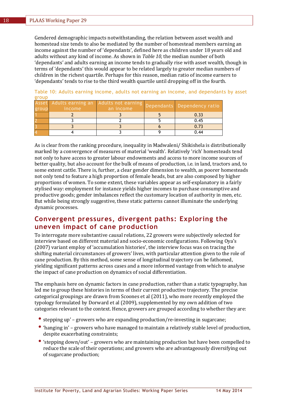Gendered demographic impacts notwithstanding, the relation between asset wealth and homestead size tends to also be mediated by the number of homestead members earning an income against the number of 'dependants', defined here as children under 18 years old and adults without any kind of income. As shown in *Table 10,* the median number of both 'dependants' and adults earning an income tends to gradually rise with asset wealth, though in terms of 'dependants' this would appear to be related largely to greater median numbers of children in the richest quartile. Perhaps for this reason, median ratio of income earners to 'dependants' tends to rise to the third wealth quartile until dropping off in the fourth.

|  | <i>income</i> | Asset Adults earning an Adults not earning Dependants Dependency ratio<br>an income |      |  |  |
|--|---------------|-------------------------------------------------------------------------------------|------|--|--|
|  |               |                                                                                     | 0.33 |  |  |
|  |               |                                                                                     | 0.45 |  |  |
|  |               |                                                                                     | 0.73 |  |  |
|  |               |                                                                                     | 0.44 |  |  |

|       |  |  |  |  |  | Table 10: Adults earning income, adults not earning an income, and dependants by asset |  |
|-------|--|--|--|--|--|----------------------------------------------------------------------------------------|--|
| group |  |  |  |  |  |                                                                                        |  |

As is clear from the ranking procedure, inequality in Madwaleni/ Shikishela is distributionally marked by a convergence of measures of material 'wealth'. Relatively 'rich' homesteads tend not only to have access to greater labour endowments and access to more income sources of better quality, but also account for the bulk of means of production, i.e. in land, tractors and, to some extent cattle. There is, further, a clear gender dimension to wealth, as poorer homesteads not only tend to feature a high proportion of female heads, but are also composed by higher proportions of women. To some extent, these variables appear as self-explanatory in a fairly stylised way: employment for instance yields higher incomes to purchase consumptive and productive goods; gender imbalances reflect the customary location of authority in men, etc. But while being strongly suggestive, these static patterns cannot illuminate the underlying dynamic processes.

### **Convergent pressures, divergent paths: Exploring the uneven impact of cane production**

To interrogate more substantive causal relations, 22 growers were subjectively selected for interview based on different material and socio-economic configurations. Following Oya's (2007) variant employ of 'accumulation histories', the interview focus was on tracing the shifting material circumstances of growers' lives, with particular attention given to the role of cane production. By this method, some sense of longitudinal trajectory can be fathomed, yielding significant patterns across cases and a more informed vantage from which to analyse the impact of cane production on dynamics of social differentiation.

The emphasis here on dynamic factors in cane production, rather than a static typography, has led me to group these histories in terms of their current productive trajectory. The precise categorical groupings are drawn from Scoones et al (2011), who more recently employed the typology formulated by Dorward et al (2009), supplemented by my own addition of two categories relevant to the context. Hence, growers are grouped according to whether they are:

- stepping up' growers who are expanding production/re-investing in sugarcane;
- 'hanging in' growers who have managed to maintain a relatively stable level of production, despite exacerbating constraints;
- 'stepping down/out' growers who are maintaining production but have been compelled to reduce the scale of their operations; and growers who are advantageously diversifying out of sugarcane production;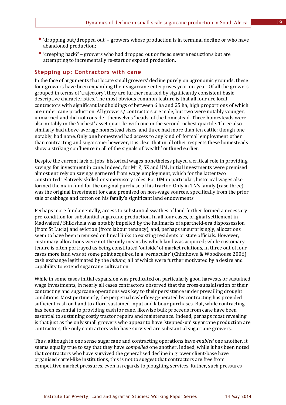- 'dropping out/dropped out' growers whose production is in terminal decline or who have abandoned production;
- 'creeping back?' growers who had dropped out or faced severe reductions but are attempting to incrementally re-start or expand production.

### **Stepping up: Contractors with cane**

In the face of arguments that locate small growers' decline purely on agronomic grounds, these four growers have been expanding their sugarcane enterprises year-on-year. Of all the growers grouped in terms of 'trajectory', they are further marked by significantly consistent basic descriptive characteristics. The most obvious common feature is that all four are local contractors with significant landholdings of between 6 ha and 25 ha, high proportions of which are under cane production. All growers/ contractors are male, but two were notably younger, unmarried and did not consider themselves 'heads' of the homestead. Three homesteads were also notably in the 'richest' asset quartile, with one in the second-richest quartile. Three also similarly had above-average homestead sizes, and three had more than ten cattle; though one, notably, had none. Only one homestead had access to any kind of 'formal' employment other than contracting and sugarcane; however, it is clear that in all other respects these homesteads show a striking confluence in all of the signals of 'wealth' outlined earlier.

Despite the current lack of jobs, historical wages nonetheless played a critical role in providing savings for investment in cane. Indeed, for Mr Z, SZ and UM, initial investments were premised almost entirely on savings garnered from wage employment, which for the latter two constituted relatively skilled or supervisory roles. For UM in particular, historical wages also formed the main fund for the original purchase of his tractor. Only in TN's family (case three) was the original investment for cane premised on non-wage sources, specifically from the prior sale of cabbage and cotton on his family's significant land endowments.

Perhaps more fundamentally, access to substantial swathes of land further formed a necessary pre-condition for substantial sugarcane production. In all four cases, original settlement in Madwaleni/ Shikishela was notably impelled by the hallmarks of apartheid-era dispossession (from St Lucia) and eviction (from labour tenancy), and, perhaps unsurprisingly, allocations seem to have been premised on lineal links to existing residents or state officials. However, customary allocations were not the only means by which land was acquired; while customary tenure is often portrayed as being constituted 'outside' of market relations, in three out of four cases more land was at some point acquired in a 'vernacular' (Chimhowu & Woodhouse 2006) cash exchange legitimated by the *induna*, all of which were further motivated by a desire and capability to extend sugarcane cultivation.

While in some cases initial expansion was predicated on particularly good harvests or sustained wage investments, in nearly all cases contractors observed that the cross-subsidisation of their contracting and sugarcane operations was key to their persistence under prevailing drought conditions. Most pertinently, the perpetual cash-flow generated by contracting has provided sufficient cash on hand to afford sustained input and labour purchases. But, while contracting has been essential to providing cash for cane, likewise bulk proceeds from cane have been essential to sustaining costly tractor repairs and maintenance. Indeed, perhaps most revealing is that just as the only small growers who appear to have 'stepped-up' sugarcane production are contractors, the only contractors who have survived are substantial sugarcane growers.

Thus, although in one sense sugarcane and contracting operations have *enabled* one another, it seems equally true to say that they have *compelled* one another. Indeed, while it has been noted that contractors who have survived the generalised decline in grower client-base have organised cartel-like institutions, this is not to suggest that contractors are free from competitive market pressures, even in regards to ploughing services. Rather, such pressures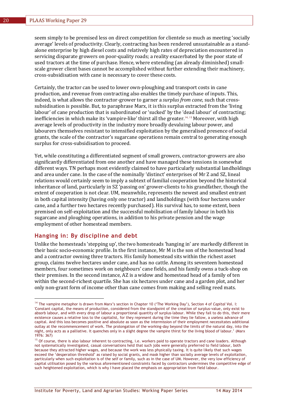seem simply to be premised less on direct competition for clientele so much as meeting 'socially average' levels of productivity. Clearly, contracting has been rendered unsustainable as a standalone enterprise by high diesel costs and relatively high rates of depreciation encountered in servicing disparate growers on poor-quality roads; a reality exacerbated by the poor state of used tractors at the time of purchase. Hence, where extending (an already diminished) smallscale grower client bases cannot be accomplished without further extending their machinery, cross-subsidisation with cane is necessary to cover these costs.

Certainly, the tractor can be used to lower own-ploughing and transport costs in cane production, and revenue from contracting also enables the timely purchase of inputs. This, indeed, is what allows the contractor-grower to garner a *surplus from cane*, such that crosssubsidisation is possible. But, to paraphrase Marx, it is this surplus extracted from the 'living labour' of cane production that is subordinated or 'sucked' by the 'dead labour' of contracting; inefficiencies in which make its 'vampire-like' thirst all the greater.<sup>14, 15</sup> Moreover, with high average levels of productivity in the industry more broadly devaluing labour power, and labourers themselves resistant to intensified exploitation by the generalised presence of social grants, the scale of the contractor's sugarcane operations remain central to generating enough surplus for cross-subsidisation to proceed.

Yet, while constituting a differentiated segment of small growers, contractor-growers are also significantly differentiated from one another and have managed these tensions in somewhat different ways. TN perhaps most evidently claimed to have particularly substantial landholdings and area under cane. In the case of the nominally 'distinct' enterprises of Mr Z and SZ, lineal relations would certainly seem to imply a subtext of familial cooperation beyond the historical inheritance of land, particularly in SZ 'passing on' grower-clients to his grandfather, though the extent of cooperation is not clear. UM, meanwhile, represents the newest and smallest entrant in both capital intensity (having only one tractor) and landholdings (with four hectares under cane, and a further two hectares recently purchased). His survival has, to some extent, been premised on self-exploitation and the successful mobilisation of family labour in both his sugarcane and ploughing operations, in addition to his private pension and the wage employment of other homestead members.

### **Hanging in: By discipline and debt**

 $\overline{a}$ 

Unlike the homesteads 'stepping up', the two homesteads 'hanging in' are markedly different in their basic socio-economic profile. In the first instance, Mr M is the son of the homestead head and a contractor owning three tractors. His family homestead sits within the richest asset group, claims twelve hectares under cane, and has no cattle. Among its seventeen homestead members, four sometimes work on neighbours' cane fields, and his family owns a tuck-shop on their premises. In the second instance, AZ is a widow and homestead head of a family of ten within the second-richest quartile. She has six hectares under cane and a garden plot, and her only non-grant form of income other than cane comes from making and selling reed mats.

<sup>14</sup> The vampire metaphor is drawn from Marx's section in Chapter 10 ('The Working Day'), Section 4 of *Capital* Vol. I: 'Constant capital, the means of production, considered from the standpoint of the creation of surplus-value, only exist to absorb labour, and with every drop of labour a proportional quantity of surplus-labour. While they fail to do this, their mere existence causes a relative loss to the capitalist, for they represent during the time they lie fallow, a useless advance of capital. And this loss becomes positive and absolute as soon as the intermission of their employment necessitates additional outlay at the recommencement of work. The prolongation of the working-day beyond the limits of the natural day, into the night, only acts as a palliative. It quenches only in a slight degree the vampire thirst for the living blood of labour.' (Marx 1976: 367)

<sup>&</sup>lt;sup>15</sup> Of course, there is also labour inherent to contracting, i.e. workers paid to operate tractors and cane loaders. Although not systematically investigated, casual conversations held that such jobs were generally preferred to field labour, both because they attracted higher wages, and because the work was less physically taxing. It is quite likely that such wages exceed the 'desperation threshold' as raised by social grants, and mask higher than socially average levels of exploitation, particularly when such exploitation is of the self or family, such as in the case of UM. However, the very low efficiency of capital utilisation posed by the various aforementioned constraints faced by contractors undermines the competitive edge of such heightened exploitation, which is why I have placed the emphasis on appropriation from field labour.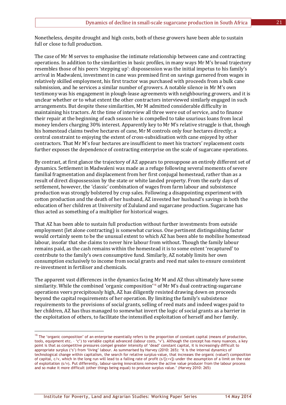Nonetheless, despite drought and high costs, both of these growers have been able to sustain full or close to full production.

The case of Mr M serves to emphasise the intimate relationship between cane and contracting operations. In addition to the similarities in basic profiles, in many ways Mr M's broad trajectory resembles those of his peers 'stepping up': dispossession was the initial impetus to his family's arrival in Madwaleni, investment in cane was premised first on savings garnered from wages in relatively skilled employment, his first tractor was purchased with proceeds from a bulk cane submission, and he services a similar number of growers. A notable silence in Mr M's own testimony was his engagement in plough-lease agreements with neighbouring growers, and it is unclear whether or to what extent the other contractors interviewed similarly engaged in such arrangements. But despite these similarities, Mr M admitted considerable difficulty in maintaining his tractors. At the time of interview all three were out of service, and to finance their repair at the beginning of each season he is compelled to take usurious loans from local money lenders charging 30% interest. Apparently key to Mr M's relative struggle is that, though his homestead claims twelve hectares of cane, Mr M controls only four hectares directly; a central constraint to enjoying the extent of cross-subsidisation with cane enjoyed by other contractors. That Mr M's four hectares are insufficient to meet his tractors' replacement costs further exposes the dependence of contracting enterprise on the scale of sugarcane operations.

By contrast, at first glance the trajectory of AZ appears to presuppose an entirely different set of dynamics. Settlement in Madwaleni was made as a refuge following several moments of severe familial fragmentation and displacement from her first conjugal homestead, rather than as a result of direct dispossession by the state or white landed property. From the early days of settlement, however, the 'classic' combination of wages from farm labour and subsistence production was strongly bolstered by crop sales. Following a disappointing experiment with cotton production and the death of her husband, AZ invested her husband's savings in both the education of her children at University of Zululand and sugarcane production. Sugarcane has thus acted as something of a multiplier for historical wages.

That AZ has been able to sustain full production without further investments from outside employment (let alone contracting) is somewhat curious. One pertinent distinguishing factor would certainly seem to be the unusual extent to which AZ has been able to mobilise homestead labour, insofar that she claims to never hire labour from without. Though the family labour remains paid, as the cash remains within the homestead it is to some extent 'recaptured' to contribute to the family's own consumptive fund. Similarly, AZ notably limits her own consumption exclusively to income from social grants and reed mat sales to ensure consistent re-investment in fertiliser and chemicals.

The apparent vast differences in the dynamics facing Mr M and AZ thus ultimately have some similarity. While the combined 'organic composition'<sup>16</sup> of Mr M's dual contracting-sugarcane operations veers precipitously high, AZ has diligently resisted drawing down on proceeds beyond the capital requirements of her operation. By limiting the family's subsistence requirements to the provisions of social grants, selling of reed mats and indeed wages paid to her children, AZ has thus managed to somewhat invert the logic of social grants as a barrier in the exploitation of others, to facilitate the intensified exploitation of herself and her family.

l

<sup>&</sup>lt;sup>16</sup> The 'organic composition' of an enterprise essentially refers to the proportion of constant capital (means of production, tools, equipment etc. – 'c') to variable capital advanced (labour costs, 'v'). Although the concept has many nuances, a key point is that as competitive pressures compel greater intensity of 'dead' constant capital, it is increasingly difficult to appropriate surplus ('s') from 'living' labour. As summarised by Harvey (2010: 265): 'it is the internal dynamics of technological change within capitalism, the search for relative surplus-value, that increases the organic (value?) composition of capital,  $c/v$ , which in the long run will lead to a falling rate of profit  $(s/[c+v])$  under the assumption of a limit on the rate of exploitation (s/v). Put differently, labour-saving innovations remove the active value producer from the labour process and so make it more difficult (other things being equal) to produce surplus value.' (Harvey 2010: 265)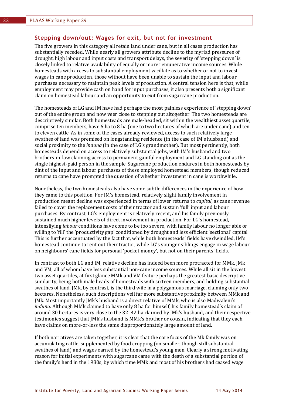### **Stepping down/out: Wages for exit, but not for investment**

The five growers in this category all retain land under cane, but in all cases production has substantially receded. While nearly all growers attribute decline to the myriad pressures of drought, high labour and input costs and transport delays, the severity of 'stepping down' is closely linked to relative availability of equally or more remunerative income sources. While homesteads with access to substantial employment vacillate as to whether or not to invest wages in cane production, those without have been unable to sustain the input and labour purchases necessary to maintain peak levels of production. A central tension here is that, while employment may provide cash on hand for input purchases, it also presents both a significant claim on homestead labour and an opportunity to exit from sugarcane production.

The homesteads of LG and IM have had perhaps the most painless experience of 'stepping down' out of the entire group and now veer close to stepping out altogether. The two homesteads are descriptively similar. Both homesteads are male-headed, sit within the wealthiest asset quartile, comprise ten members, have 6 ha to 8 ha (one to two hectares of which are under cane) and ten to eleven cattle. As in some of the cases already reviewed, access to such relatively large swathes of land was premised on longstanding residence (in the case of IM's husband) and social proximity to the *induna* (in the case of LG's grandmother). But most pertinently, both homesteads depend on access to relatively substantial jobs, with IM's husband and two brothers-in-law claiming access to permanent gainful employment and LG standing out as the single highest-paid person in the sample. Sugarcane production endures in both homesteads by dint of the input and labour purchases of these employed homestead members, though reduced returns to cane have prompted the question of whether investment in cane is worthwhile.

Nonetheless, the two homesteads also have some subtle differences in the experience of how they came to this position. For IM's homestead, relatively slight family involvement in production meant decline was experienced in terms of lower returns to *capital*, as cane revenue failed to cover the replacement costs of their tractor and sustain 'full' input and labour purchases. By contrast, LG's employment is relatively recent, and his family previously sustained much higher levels of direct involvement in production. For LG's homestead, intensifying *labour* conditions have come to be too severe, with family labour no longer able or willing to 'fill' the 'productivity gap' conditioned by drought and less efficient 'sectional' capital. This is further accentuated by the fact that, while both homesteads' fields have dwindled, IM's homestead continue to rent out their tractor, while LG's younger siblings engage in wage labour on neighbours' cane fields for personal 'pocket money', but not on their parents' fields.

In contrast to both LG and IM, relative decline has indeed been more protracted for MMk, JMk and VM, all of whom have less substantial non-cane income sources. While all sit in the lowest two asset quartiles, at first glance MMk and VM feature perhaps the greatest basic descriptive similarity, being both male heads of homesteads with sixteen members, and holding substantial swathes of land. JMk, by contrast, is the third wife in a polygamous marriage, claiming only two hectares. Nonetheless, such descriptions veil far more substantive proximity between MMk and JMk. Most importantly JMk's husband is a direct relative of MMk, who is also Madwaleni's *induna*. Although MMk claimed to have only 8 ha for himself, his family homestead's claim of around 30 hectares is very close to the 32–42 ha claimed by JMk's husband, and their respective testimonies suggest that JMk's husband is MMk's brother or cousin, indicating that they each have claims on more-or-less the same disproportionately large amount of land.

If both narratives are taken together, it is clear that the core focus of the Mk family was on accumulating cattle, supplemented by food cropping (on smaller, though still substantial swathes of land) and wages earned by the homestead's young men. Clearly a strong motivating reason for initial experiments with sugarcane came with the death of a substantial portion of the family's herd in the 1980s, by which time MMk and most of his brothers had ceased wage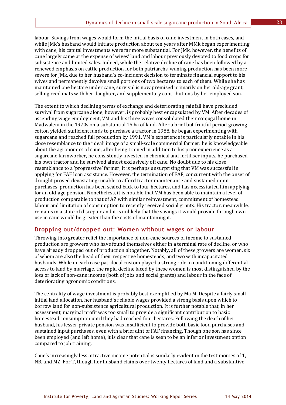labour. Savings from wages would form the initial basis of cane investment in both cases, and while JMk's husband would initiate production about ten years after MMk began experimenting with cane, his capital investments were far more substantial. For JMk, however, the benefits of cane largely came at the expense of wives' land and labour previously devoted to food crops for subsistence and limited sales. Indeed, while the relative decline of cane has been followed by a renewed emphasis on cattle production for both patriarchs, waning production has been more severe for JMk, due to her husband's co-incident decision to terminate financial support to his wives and permanently devolve small portions of two hectares to each of them. While she has maintained one hectare under cane, survival is now premised primarily on her old-age grant, selling reed mats with her daughter, and supplementary contributions by her employed son.

The extent to which declining terms of exchange and deteriorating rainfall have precluded survival from sugarcane alone, however, is probably best encapsulated by VM. After decades of ascending wage employment, VM and his three wives consolidated their conjugal home in Madwaleni in the 1970s on a substantial 15 ha of land. After a brief but fruitful period growing cotton yielded sufficient funds to purchase a tractor in 1988, he began experimenting with sugarcane and reached full production by 1991. VM's experience is particularly notable in his close resemblance to the 'ideal' image of a small-scale commercial farmer: he is knowledgeable about the agronomics of cane, after being trained in addition to his prior experience as a sugarcane farmworker, he consistently invested in chemical and fertiliser inputs, he purchased his own tractor and he survived almost exclusively off cane. No doubt due to his close resemblance to a 'progressive' farmer, it is perhaps unsurprising that VM was successful in applying for FAF loan assistance. However, the termination of FAF, concurrent with the onset of drought proved devastating: unable to afford tractor maintenance and sustained input purchases, production has been scaled back to four hectares, and has necessitated him applying for an old-age pension. Nonetheless, it is notable that VM has been able to maintain a level of production comparable to that of AZ with similar reinvestment, commitment of homestead labour and limitation of consumption to recently received social grants. His tractor, meanwhile, remains in a state of disrepair and it is unlikely that the savings it would provide through ownuse in cane would be greater than the costs of maintaining it.

### **Dropping out/dropped out: Women without wages or labour**

Throwing into greater relief the importance of non-cane sources of income to sustained production are growers who have found themselves either in a terminal rate of decline, or who have already dropped out of production altogether. Notably, all of these growers are women, six of whom are also the head of their respective homesteads, and two with incapacitated husbands. While in each case patrilocal custom played a strong role in conditioning differential access to land by marriage, the rapid decline faced by these women is most distinguished by the loss or lack of non-cane income (both of jobs and social grants) and labour in the face of deteriorating agronomic conditions.

The centrality of wage investment is probably best exemplified by Ma M. Despite a fairly small initial land allocation, her husband's reliable wages provided a strong basis upon which to borrow land for non-subsistence agricultural production. It is further notable that, in her assessment, marginal profit was too small to provide a significant contribution to basic homestead consumption until they had reached four hectares. Following the death of her husband, his lesser private pension was insufficient to provide both basic food purchases and sustained input purchases, even with a brief dint of FAF financing. Though one son has since been employed (and left home), it is clear that cane is seen to be an inferior investment option compared to job training.

Cane's increasingly less attractive income potential is similarly evident in the testimonies of T, NB, and MZ. For T, though her husband claims over twenty hectares of land and a substantive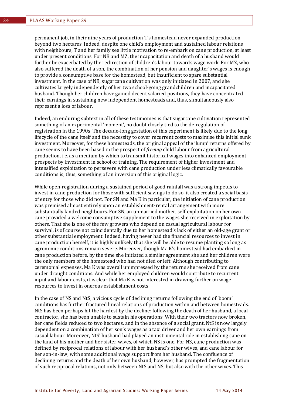permanent job, in their nine years of production T's homestead never expanded production beyond two hectares. Indeed, despite one child's employment and sustained labour relations with neighbours, T and her family see little motivation to re-embark on cane production, at least under present conditions. For NB and MZ, the incapacitation and death of a husband would further be exacerbated by the redirection of children's labour towards wage work. For MZ, who also suffered the death of a son, the combination of her pension and daughter's wages is enough to provide a consumptive base for the homestead, but insufficient to spare substantial investment. In the case of NB, sugarcane cultivation was only initiated in 2007, and she cultivates largely independently of her two school-going grandchildren and incapacitated husband. Though her children have gained decent salaried positions, they have concentrated their earnings in sustaining new independent homesteads and, thus, simultaneously also represent a loss of labour.

Indeed, an enduring subtext in all of these testimonies is that sugarcane cultivation represented something of an experimental 'moment', no doubt closely tied to the de-regulation of registration in the 1990s. The decade-long gestation of this experiment is likely due to the long lifecycle of the cane itself and the necessity to cover recurrent costs to maximise this initial sunk investment. Moreover, for these homesteads, the original appeal of the 'lump' returns offered by cane seems to have been based in the prospect of *freeing* child labour from agricultural production, i.e. as a medium by which to transmit historical wages into enhanced employment prospects by investment in school or training. The requirement of higher investment and intensified exploitation to persevere with cane production under less climatically favourable conditions is, thus, something of an inversion of this original logic.

While open-registration during a sustained period of good rainfall was a strong impetus to invest in cane production for those with sufficient savings to do so, it also created a social basis of entry for those who did not. For SN and Ma K in particular, the initiation of cane production was premised almost entirely upon an establishment-rental arrangement with more substantially landed neighbours. For SN, an unmarried mother, self-exploitation on her own cane provided a welcome consumptive supplement to the wages she received in exploitation by others. That she is one of the few growers who depend on casual agricultural labour for survival, is of course not coincidentally due to her homestead's lack of either an old-age grant or other substantial employment. Indeed, having never had the financial resources to invest in cane production herself, it is highly unlikely that she will be able to resume planting so long as agronomic conditions remain severe. Moreover, though Ma K's homestead had embarked in cane production before, by the time she initiated a similar agreement she and her children were the only members of the homestead who had not died or left. Although contributing to ceremonial expenses, Ma K was overall unimpressed by the returns she received from cane under drought conditions. And while her employed children would contribute to recurrent input and labour costs, it is clear that Ma K is not interested in drawing further on wage resources to invest in onerous establishment costs.

In the case of NS and NtS, a vicious cycle of declining returns following the end of 'boom' conditions has further fractured lineal relations of production within and between homesteads. NtS has been perhaps hit the hardest by the decline: following the death of her husband, a local contractor, she has been unable to sustain his operations. With their two tractors now broken, her cane fields reduced to two hectares, and in the absence of a social grant, NtS is now largely dependent on a combination of her son's wages as a taxi driver and her own earnings from casual labour. Moreover, NtS' husband had played an instrumental role in establishing cane on the land of his mother and her sister-wives, of which NS is one. For NS, cane production was defined by reciprocal relations of labour with her husband's other wives, and cane labour for her son-in-law, with some additional wage support from her husband. The confluence of declining returns and the death of her own husband, however, has prompted the fragmentation of such reciprocal relations, not only between NtS and NS, but also with the other wives. This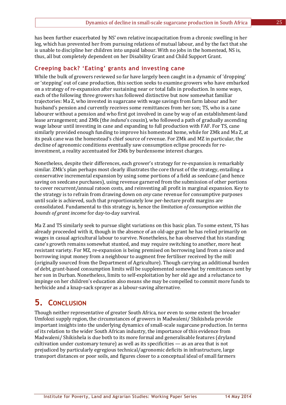has been further exacerbated by NS' own relative incapacitation from a chronic swelling in her leg, which has prevented her from pursuing relations of mutual labour, and by the fact that she is unable to discipline her children into unpaid labour. With no jobs in the homestead, NS is, thus, all but completely dependent on her Disability Grant and Child Support Grant.

### **Creeping back? 'Eating' grants and investing cane**

While the bulk of growers reviewed so far have largely been caught in a dynamic of 'dropping' or 'stepping' out of cane production, this section seeks to examine growers who have embarked on a strategy of re-expansion after sustaining near or total falls in production. In some ways, each of the following three growers has followed distinctive but now somewhat familiar trajectories: Ma Z, who invested in sugarcane with wage savings from farm labour and her husband's pension and currently receives some remittances from her son; TS, who is a cane labourer without a pension and who first got involved in cane by way of an establishment-land lease arrangement; and ZMk (the *induna*'s cousin), who followed a path of gradually ascending wage labour until investing in cane and expanding to full production with FAF. For TS, cane similarly provided enough funding to improve his homestead home, while for ZMk and Ma Z, at its peak cane was the homestead's chief source of revenue. For ZMk and MZ in particular, the decline of agronomic conditions eventually saw consumption eclipse proceeds for reinvestment, a reality accentuated for ZMk by burdensome interest charges.

Nonetheless, despite their differences, each grower's strategy for re-expansion is remarkably similar. ZMk's plan perhaps most clearly illustrates the core thrust of the strategy, entailing a conservative incremental expansion by using some portions of a field as seedcane (and hence saving on seedcane purchases), using revenue garnered from the submission of other portions to cover recurrent/annual ratoon costs, and reinvesting all profit in marginal expansion. Key to the strategy is to refrain from drawing down on *any* cane revenue for consumptive purposes until scale is achieved, such that proportionately low per-hectare profit margins are consolidated. Fundamental to this strategy is, hence the *limitation of consumption within the bounds of grant income* for day-to-day survival.

Ma Z and TS similarly seek to pursue slight variations on this basic plan. To some extent, TS has already proceeded with it, though in the absence of an old-age grant he has relied primarily on wages in casual agricultural labour to survive. Nonetheless, he has observed that his standing cane's growth remains somewhat stunted, and may require switching to another, more heat resistant variety. For MZ, re-expansion is being premised on borrowing land from a niece and borrowing input money from a neighbour to augment free fertiliser received by the mill (originally sourced from the Department of Agriculture). Though carrying an additional burden of debt, grant-based consumption limits will be supplemented somewhat by remittances sent by her son in Durban. Nonetheless, limits to self-exploitation by her old age and a reluctance to impinge on her children's education also means she may be compelled to commit more funds to herbicide and a knap-sack sprayer as a labour-saving alternative.

# **5. CONCLUSION**

Though neither representative of greater South Africa, nor even to some extent the broader Umfolozi supply region, the circumstances of growers in Madwaleni/ Shikishela provide important insights into the underlying dynamics of small-scale sugarcane production. In terms of its relation to the wider South African industry, the importance of this evidence from Madwaleni/ Shikishela is due both to its more formal and generalisable features (dryland cultivation under customary tenure) as well as its specificities — as an area that is not prejudiced by particularly egregious technical/agronomic deficits in infrastructure, large transport distances or poor soils, and figures closer to a conceptual ideal of small farmers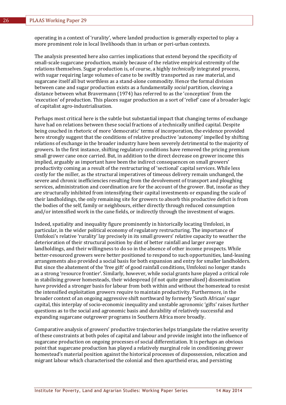operating in a context of 'rurality', where landed production is generally expected to play a more prominent role in local livelihoods than in urban or peri-urban contexts.

The analysis presented here also carries implications that extend beyond the specificity of small-scale sugarcane production, mainly because of the relative empirical extremity of the relations themselves. Sugar production is, of course, a highly *technically* integrated process, with sugar requiring large volumes of cane to be swiftly transported as raw material, and sugarcane itself all but worthless as a stand-alone commodity. Hence the formal division between cane and sugar production exists as a fundamentally *social* partition, cleaving a distance between what Bravermann (1974) has referred to as the 'conception' from the 'execution' of production. This places sugar production as a sort of 'relief' case of a broader logic of capitalist agro-industrialisation.

Perhaps most critical here is the subtle but substantial impact that changing terms of exchange have had on relations between these social fractions of a technically unified capital. Despite being couched in rhetoric of more 'democratic' terms of incorporation, the evidence provided here strongly suggest that the conditions of relative productive 'autonomy' impelled by shifting relations of exchange in the broader industry have been severely detrimental to the majority of growers. In the first instance, shifting regulatory conditions have removed the pricing premium small grower cane once carried. But, in addition to the direct decrease on grower income this implied, arguably as important have been the indirect consequences on small growers' productivity coming as a result of the restructuring of 'sectional' capital services. While less costly for the miller, as the structural imperatives of timeous delivery remain unchanged, the severe and chronic inefficiencies resulting from the devolvement of transport and ploughing services, administration and coordination are for the account of the grower. But, insofar as they are structurally inhibited from intensifying their capital investments or expanding the scale of their landholdings, the only remaining site for growers to absorb this productive deficit is from the bodies of the self, family or neighbours, either directly through reduced consumption and/or intensified work in the cane fields, or indirectly through the investment of wages.

Indeed, spatiality and inequality figure prominently in historically locating Umfolozi, in particular, in the wider political economy of regulatory restructuring. The importance of Umfolozi's relative 'rurality' lay precisely in its small growers' relative capacity to weather the deterioration of their structural position by dint of better rainfall and larger average landholdings, and their willingness to do so in the absence of other income prospects. While better-resourced growers were better positioned to respond to such opportunities, land-leasing arrangements also provided a social basis for both expansion and entry for smaller landholders. But since the abatement of the 'free gift' of good rainfall conditions, Umfolozi no longer stands as a strong 'resource frontier'. Similarly, however, while social grants have played a critical role in stabilising grower homesteads, their widespread (if not quite generalised) dissemination have provided a stronger basis for labour from both within and without the homestead to resist the intensified exploitation growers require to maintain productivity. Furthermore, in the broader context of an ongoing aggressive shift northward by formerly 'South African' sugar capital, this interplay of socio-economic inequality and unstable agronomic 'gifts' raises further questions as to the social and agronomic basis and durability of relatively successful and expanding sugarcane outgrower programs in Southern Africa more broadly.

Comparative analysis of growers' productive trajectories helps triangulate the relative severity of these constraints at both poles of capital and labour and provide insight into the influence of sugarcane production on ongoing processes of social differentiation. It is perhaps an obvious point that sugarcane production has played a relatively marginal role in conditioning grower homestead's material position against the historical processes of dispossession, relocation and migrant labour which characterised the colonial and then apartheid eras, and persisting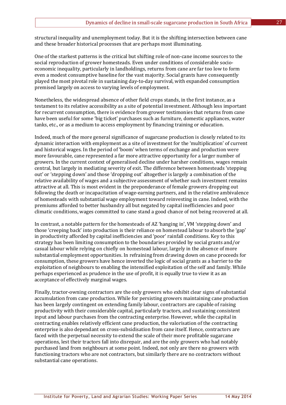structural inequality and unemployment today. But it is the shifting intersection between cane and these broader historical processes that are perhaps most illuminating.

One of the starkest patterns is the critical but shifting role of non-cane income sources to the social reproduction of grower homesteads. Even under conditions of considerable socioeconomic inequality, particularly in landholdings, returns from cane are far too low to form even a modest consumptive baseline for the vast majority. Social grants have consequently played the most pivotal role in sustaining day-to-day survival, with expanded consumption premised largely on access to varying levels of employment.

Nonetheless, the widespread absence of other field crops stands, in the first instance, as a testament to its relative accessibility as a site of potential investment. Although less important for recurrent consumption, there is evidence from grower testimonies that returns from cane have been useful for some 'big ticket' purchases such as furniture, domestic appliances, water tanks, etc., or as a medium to access employment by financing training or education.

Indeed, much of the more general significance of sugarcane production is closely related to its dynamic interaction with employment as a site of investment for the 'multiplication' of current and historical wages. In the period of 'boom' when terms of exchange and production were more favourable, cane represented a far more attractive opportunity for a larger number of growers. In the current context of generalised decline under harsher conditions, wages remain central, but largely in mediating severity of exit. The difference between homesteads 'stepping out' or 'stepping down' and those 'dropping out' altogether is largely a combination of the relative availability of wages and a subjective assessment of whether such investment remains attractive at all. This is most evident in the preponderance of female growers dropping out following the death or incapacitation of wage-earning partners, and in the relative ambivalence of homesteads with substantial wage employment toward reinvesting in cane. Indeed, with the premiums afforded to better husbandry all but negated by capital inefficiencies and poor climatic conditions, wages committed to cane stand a good chance of not being recovered at all.

In contrast, a notable pattern for the homesteads of AZ 'hanging in', VM 'stepping down' and those 'creeping back' into production is their reliance on homestead labour to absorb the 'gap' in productivity afforded by capital inefficiencies and 'poor' rainfall conditions. Key to this strategy has been limiting consumption to the boundaries provided by social grants and/or casual labour while relying on chiefly on homestead labour, largely in the absence of more substantial employment opportunities. In refraining from drawing down on cane proceeds for consumption, these growers have hence inverted the logic of social grants as a barrier to the exploitation of neighbours to enabling the intensified exploitation of the self and family. While perhaps experienced as prudence in the use of profit, it is equally true to view it as an acceptance of effectively marginal wages.

Finally, tractor-owning contractors are the only growers who exhibit clear signs of substantial accumulation from cane production. While for persisting growers maintaining cane production has been largely contingent on extending family labour, contractors are capable of raising productivity with their considerable capital, particularly tractors, and sustaining consistent input and labour purchases from the contracting enterprise. However, while the capital in contracting enables relatively efficient cane production, the valorisation of the contracting enterprise is also dependant on cross-subsidisation from cane itself. Hence, contractors are faced with the perpetual necessity to extend the scale of their more profitable sugarcane operations, lest their tractors fall into disrepair, and are the only growers who had notably purchased land from neighbours at some point. Indeed, not only are there no growers with functioning tractors who are not contractors, but similarly there are no contractors without substantial cane operations.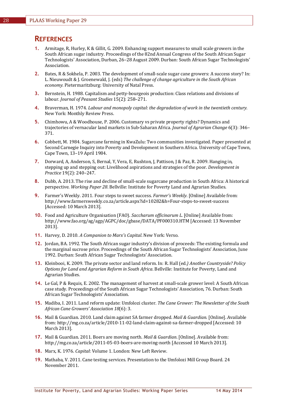### **REFERENCES**

- **1.** Armitage, R, Hurley, K & Gillit, G. 2009. Enhancing support measures to small scale growers in the South African sugar industry. Proceedings of the 82nd Annual Congress of the South African Sugar Technologists' Association, Durban, 26–28 August 2009. Durban: South African Sugar Technologists' Association.
- **2.** Bates, R & Sokhela, P. 2003. The development of small-scale sugar cane growers: A success story? In: L. Nieuwoudt & J. Groenewald, J. (eds) *The challenge of change agriculture in the South African economy.* Pietermaritzburg: University of Natal Press.
- **3.** Bernstein, H. 1988. Capitalism and petty-bourgeois production: Class relations and divisions of labour. *Journal of Peasant Studies* 15(2): 258–271.
- **4.** Braverman, H. 1974. *Labour and monopoly capital: the degradation of work in the twentieth century*. New York: Monthly Review Press.
- **5.** Chimhowu, A & Woodhouse, P. 2006. Customary vs private property rights? Dynamics and trajectories of vernacular land markets in Sub-Saharan Africa. *Journal of Agrarian Change* 6(3): 346– 371.
- **6.** Cobbett, M. 1984. Sugarcane farming in KwaZulu: Two communities investigated. Paper presented at Second Carnegie Inquiry into Poverty and Development in Southern Africa. University of Cape Town, Cape Town, 13–19 April 1984.
- **7.** Dorward, A, Anderson, S, Bernal, Y, Vera, E, Rushton, J, Pattison, J & Paz, R. 2009. Hanging in, stepping up and stepping out: Livelihood aspirations and strategies of the poor. *Development in Practice* 19(2): 240–247.
- **8.** Dubb, A. 2013. The rise and decline of small-scale sugarcane production in South Africa: A historical perspective. *Working Paper 28*. Bellville: Institute for Poverty Land and Agrarian Studies.
- **9.** Farmer's Weekly. 2011. Four steps to sweet success. *Farmer's Weekly*. [Online] Available from: http://www.farmersweekly.co.za/article.aspx?id=10282&h=Four-steps-to-sweet-success [Accessed: 10 March 2013].
- **10.** Food and Agriculture Organisation (FAO). *Saccharum officinarum L.* [Online] Available from: http://www.fao.org/ag/agp/AGPC/doc/gbase/DATA/PF000310.HTM [Accessed: 13 November 2013].
- **11.** Harvey, D. 2010. *A Companion to Marx's Capital*. New York: Verso.
- **12.** Jordan, BA. 1992. The South African sugar industry's division of proceeds: The existing formula and the marginal sucrose price. Proceedings of the South African Sugar Technologists' Association, June 1992. Durban: South African Sugar Technologists' Association.
- **13.** Kleinbooi, K. 2009. The private sector and land reform. In: R. Hall (ed*.) Another Countryside? Policy Options for Land and Agrarian Reform in South Africa*. Bellville: Institute for Poverty, Land and Agrarian Studies.
- **14.** Le Gal, P & Requis, E. 2002. The management of harvest at small-scale grower level: A South African case study. Proceedings of the South African Sugar Technologists' Association, 76. Durban: South African Sugar Technologists' Association.
- **15.** Madiba, I. 2011. Land reform update: Umfolozi cluster. *The Cane Grower: The Newsletter of the South African Cane Growers' Association 18*(6): 3.
- **16.** Mail & Guardian. 2010. Land claim against SA farmer dropped. *Mail & Guardian*. [Online]. Available from: http://mg.co.za/article/2010-11-02-land-claim-against-sa-farmer-dropped [Accessed: 10 March 2013].
- **17.** Mail & Guardian. 2011. Boers are moving north. *Mail & Guardian*. [Online]. Available from: http://mg.co.za/article/2011-05-03-boers-are-moving-north [Accessed 10 March 2013].
- **18.** Marx, K. 1976. *Capital*: Volume 1. London: New Left Review.
- **19.** Mathaba, V. 2011. Cane testing services. Presentation to the Umfolozi Mill Group Board. 24 November 2011.